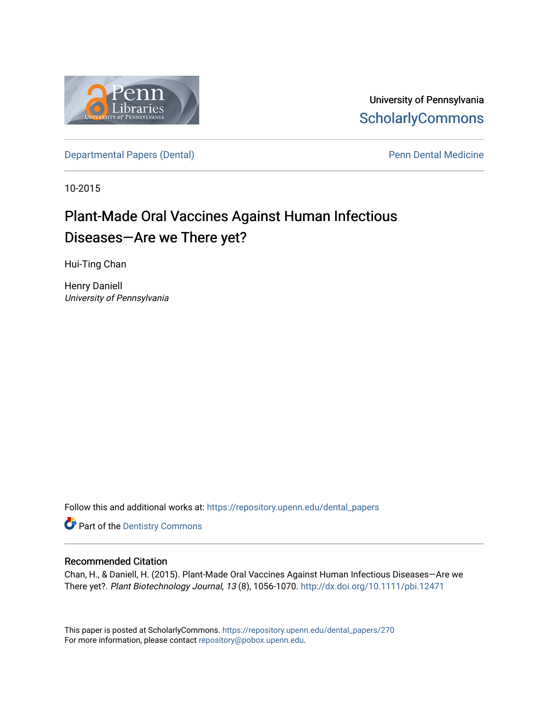

University of Pennsylvania **ScholarlyCommons** 

[Departmental Papers \(Dental\)](https://repository.upenn.edu/dental_papers) and Europe and Penn Dental Medicine

10-2015

# Plant-Made Oral Vaccines Against Human Infectious Diseases—Are we There yet?

Hui-Ting Chan

Henry Daniell University of Pennsylvania

Follow this and additional works at: [https://repository.upenn.edu/dental\\_papers](https://repository.upenn.edu/dental_papers?utm_source=repository.upenn.edu%2Fdental_papers%2F270&utm_medium=PDF&utm_campaign=PDFCoverPages)

**Part of the Dentistry Commons** 

# Recommended Citation

Chan, H., & Daniell, H. (2015). Plant-Made Oral Vaccines Against Human Infectious Diseases—Are we There yet?. Plant Biotechnology Journal, 13 (8), 1056-1070. <http://dx.doi.org/10.1111/pbi.12471>

This paper is posted at ScholarlyCommons. [https://repository.upenn.edu/dental\\_papers/270](https://repository.upenn.edu/dental_papers/270)  For more information, please contact [repository@pobox.upenn.edu.](mailto:repository@pobox.upenn.edu)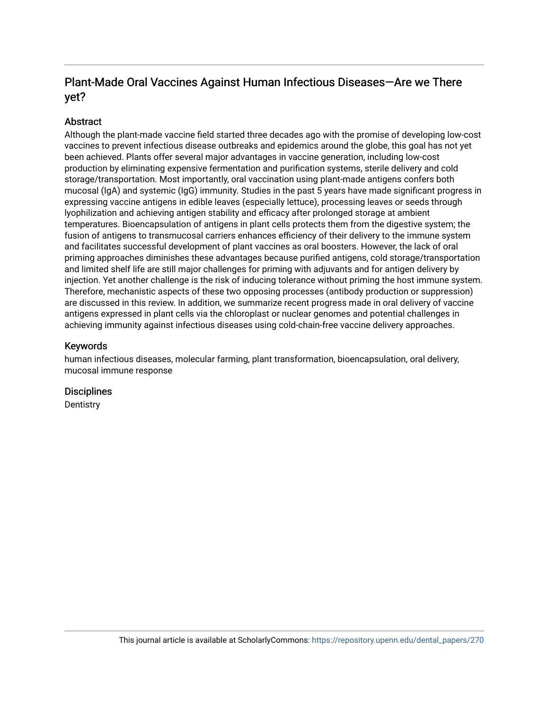# Plant-Made Oral Vaccines Against Human Infectious Diseases—Are we There yet?

# **Abstract**

Although the plant-made vaccine field started three decades ago with the promise of developing low-cost vaccines to prevent infectious disease outbreaks and epidemics around the globe, this goal has not yet been achieved. Plants offer several major advantages in vaccine generation, including low-cost production by eliminating expensive fermentation and purification systems, sterile delivery and cold storage/transportation. Most importantly, oral vaccination using plant-made antigens confers both mucosal (IgA) and systemic (IgG) immunity. Studies in the past 5 years have made significant progress in expressing vaccine antigens in edible leaves (especially lettuce), processing leaves or seeds through lyophilization and achieving antigen stability and efficacy after prolonged storage at ambient temperatures. Bioencapsulation of antigens in plant cells protects them from the digestive system; the fusion of antigens to transmucosal carriers enhances efficiency of their delivery to the immune system and facilitates successful development of plant vaccines as oral boosters. However, the lack of oral priming approaches diminishes these advantages because purified antigens, cold storage/transportation and limited shelf life are still major challenges for priming with adjuvants and for antigen delivery by injection. Yet another challenge is the risk of inducing tolerance without priming the host immune system. Therefore, mechanistic aspects of these two opposing processes (antibody production or suppression) are discussed in this review. In addition, we summarize recent progress made in oral delivery of vaccine antigens expressed in plant cells via the chloroplast or nuclear genomes and potential challenges in achieving immunity against infectious diseases using cold-chain-free vaccine delivery approaches.

# Keywords

human infectious diseases, molecular farming, plant transformation, bioencapsulation, oral delivery, mucosal immune response

# **Disciplines**

**Dentistry**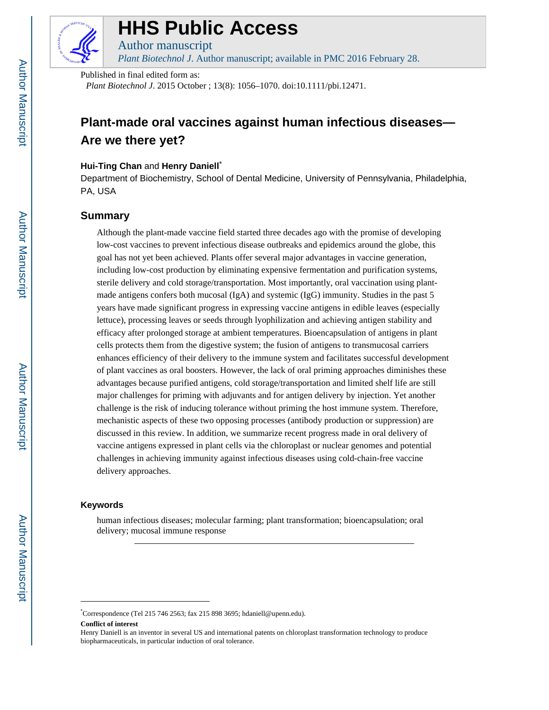

# **HHS Public Access**

*Plant Biotechnol J*. Author manuscript; available in PMC 2016 February 28.

Published in final edited form as:

Author manuscript

*Plant Biotechnol J*. 2015 October ; 13(8): 1056–1070. doi:10.1111/pbi.12471.

# **Plant-made oral vaccines against human infectious diseases— Are we there yet?**

#### **Hui-Ting Chan** and **Henry Daniell**\*

Department of Biochemistry, School of Dental Medicine, University of Pennsylvania, Philadelphia, PA, USA

# **Summary**

Although the plant-made vaccine field started three decades ago with the promise of developing low-cost vaccines to prevent infectious disease outbreaks and epidemics around the globe, this goal has not yet been achieved. Plants offer several major advantages in vaccine generation, including low-cost production by eliminating expensive fermentation and purification systems, sterile delivery and cold storage/transportation. Most importantly, oral vaccination using plantmade antigens confers both mucosal (IgA) and systemic (IgG) immunity. Studies in the past 5 years have made significant progress in expressing vaccine antigens in edible leaves (especially lettuce), processing leaves or seeds through lyophilization and achieving antigen stability and efficacy after prolonged storage at ambient temperatures. Bioencapsulation of antigens in plant cells protects them from the digestive system; the fusion of antigens to transmucosal carriers enhances efficiency of their delivery to the immune system and facilitates successful development of plant vaccines as oral boosters. However, the lack of oral priming approaches diminishes these advantages because purified antigens, cold storage/transportation and limited shelf life are still major challenges for priming with adjuvants and for antigen delivery by injection. Yet another challenge is the risk of inducing tolerance without priming the host immune system. Therefore, mechanistic aspects of these two opposing processes (antibody production or suppression) are discussed in this review. In addition, we summarize recent progress made in oral delivery of vaccine antigens expressed in plant cells via the chloroplast or nuclear genomes and potential challenges in achieving immunity against infectious diseases using cold-chain-free vaccine delivery approaches.

#### **Keywords**

human infectious diseases; molecular farming; plant transformation; bioencapsulation; oral delivery; mucosal immune response

#### **Conflict of interest**

<sup>\*</sup>Correspondence (Tel 215 746 2563; fax 215 898 3695; hdaniell@upenn.edu).

Henry Daniell is an inventor in several US and international patents on chloroplast transformation technology to produce biopharmaceuticals, in particular induction of oral tolerance.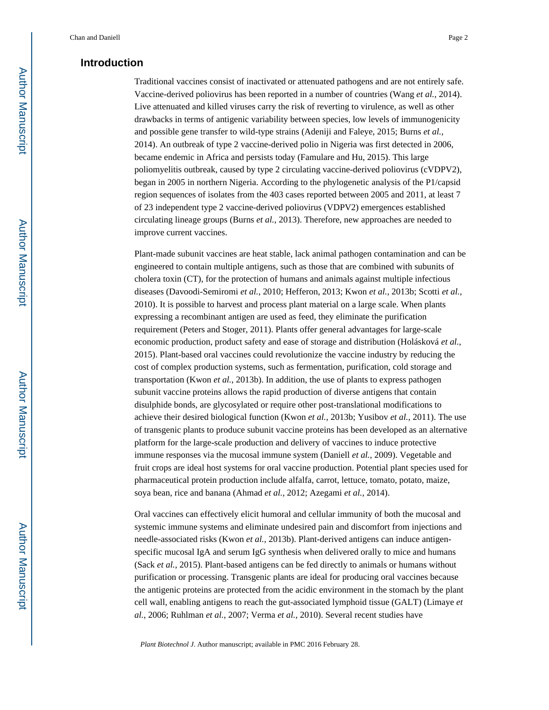## **Introduction**

Traditional vaccines consist of inactivated or attenuated pathogens and are not entirely safe. Vaccine-derived poliovirus has been reported in a number of countries (Wang *et al.*, 2014). Live attenuated and killed viruses carry the risk of reverting to virulence, as well as other drawbacks in terms of antigenic variability between species, low levels of immunogenicity and possible gene transfer to wild-type strains (Adeniji and Faleye, 2015; Burns *et al.*, 2014). An outbreak of type 2 vaccine-derived polio in Nigeria was first detected in 2006, became endemic in Africa and persists today (Famulare and Hu, 2015). This large poliomyelitis outbreak, caused by type 2 circulating vaccine-derived poliovirus (cVDPV2), began in 2005 in northern Nigeria. According to the phylogenetic analysis of the P1/capsid region sequences of isolates from the 403 cases reported between 2005 and 2011, at least 7 of 23 independent type 2 vaccine-derived poliovirus (VDPV2) emergences established circulating lineage groups (Burns *et al.*, 2013). Therefore, new approaches are needed to improve current vaccines.

Plant-made subunit vaccines are heat stable, lack animal pathogen contamination and can be engineered to contain multiple antigens, such as those that are combined with subunits of cholera toxin (CT), for the protection of humans and animals against multiple infectious diseases (Davoodi-Semiromi *et al.*, 2010; Hefferon, 2013; Kwon *et al.*, 2013b; Scotti *et al.*, 2010). It is possible to harvest and process plant material on a large scale. When plants expressing a recombinant antigen are used as feed, they eliminate the purification requirement (Peters and Stoger, 2011). Plants offer general advantages for large-scale economic production, product safety and ease of storage and distribution (Holásková *et al.*, 2015). Plant-based oral vaccines could revolutionize the vaccine industry by reducing the cost of complex production systems, such as fermentation, purification, cold storage and transportation (Kwon *et al.*, 2013b). In addition, the use of plants to express pathogen subunit vaccine proteins allows the rapid production of diverse antigens that contain disulphide bonds, are glycosylated or require other post-translational modifications to achieve their desired biological function (Kwon *et al.*, 2013b; Yusibov *et al.*, 2011). The use of transgenic plants to produce subunit vaccine proteins has been developed as an alternative platform for the large-scale production and delivery of vaccines to induce protective immune responses via the mucosal immune system (Daniell *et al.*, 2009). Vegetable and fruit crops are ideal host systems for oral vaccine production. Potential plant species used for pharmaceutical protein production include alfalfa, carrot, lettuce, tomato, potato, maize, soya bean, rice and banana (Ahmad *et al.*, 2012; Azegami *et al.*, 2014).

Oral vaccines can effectively elicit humoral and cellular immunity of both the mucosal and systemic immune systems and eliminate undesired pain and discomfort from injections and needle-associated risks (Kwon *et al.*, 2013b). Plant-derived antigens can induce antigenspecific mucosal IgA and serum IgG synthesis when delivered orally to mice and humans (Sack *et al.*, 2015). Plant-based antigens can be fed directly to animals or humans without purification or processing. Transgenic plants are ideal for producing oral vaccines because the antigenic proteins are protected from the acidic environment in the stomach by the plant cell wall, enabling antigens to reach the gut-associated lymphoid tissue (GALT) (Limaye *et al.*, 2006; Ruhlman *et al.*, 2007; Verma *et al.*, 2010). Several recent studies have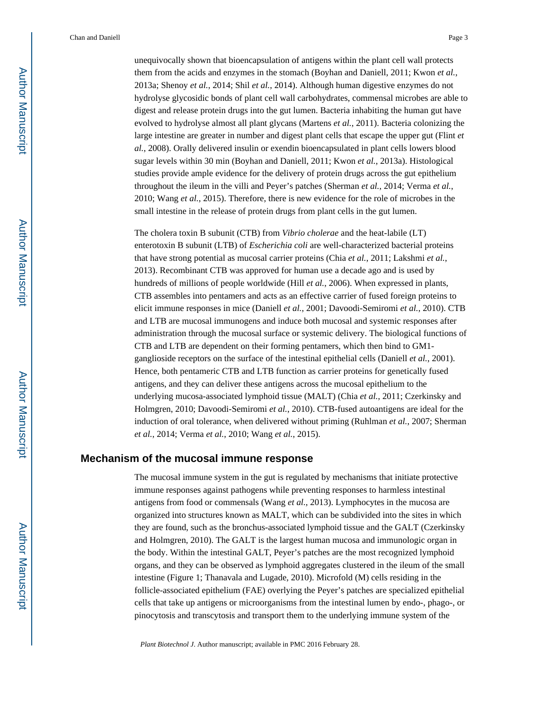unequivocally shown that bioencapsulation of antigens within the plant cell wall protects them from the acids and enzymes in the stomach (Boyhan and Daniell, 2011; Kwon *et al.*, 2013a; Shenoy *et al.*, 2014; Shil *et al.*, 2014). Although human digestive enzymes do not hydrolyse glycosidic bonds of plant cell wall carbohydrates, commensal microbes are able to digest and release protein drugs into the gut lumen. Bacteria inhabiting the human gut have evolved to hydrolyse almost all plant glycans (Martens *et al.*, 2011). Bacteria colonizing the large intestine are greater in number and digest plant cells that escape the upper gut (Flint *et al.*, 2008). Orally delivered insulin or exendin bioencapsulated in plant cells lowers blood sugar levels within 30 min (Boyhan and Daniell, 2011; Kwon *et al.*, 2013a). Histological studies provide ample evidence for the delivery of protein drugs across the gut epithelium throughout the ileum in the villi and Peyer's patches (Sherman *et al.*, 2014; Verma *et al.*, 2010; Wang *et al.*, 2015). Therefore, there is new evidence for the role of microbes in the small intestine in the release of protein drugs from plant cells in the gut lumen.

The cholera toxin B subunit (CTB) from *Vibrio cholerae* and the heat-labile (LT) enterotoxin B subunit (LTB) of *Escherichia coli* are well-characterized bacterial proteins that have strong potential as mucosal carrier proteins (Chia *et al.*, 2011; Lakshmi *et al.*, 2013). Recombinant CTB was approved for human use a decade ago and is used by hundreds of millions of people worldwide (Hill *et al.*, 2006). When expressed in plants, CTB assembles into pentamers and acts as an effective carrier of fused foreign proteins to elicit immune responses in mice (Daniell *et al.*, 2001; Davoodi-Semiromi *et al.*, 2010). CTB and LTB are mucosal immunogens and induce both mucosal and systemic responses after administration through the mucosal surface or systemic delivery. The biological functions of CTB and LTB are dependent on their forming pentamers, which then bind to GM1 ganglioside receptors on the surface of the intestinal epithelial cells (Daniell *et al.*, 2001). Hence, both pentameric CTB and LTB function as carrier proteins for genetically fused antigens, and they can deliver these antigens across the mucosal epithelium to the underlying mucosa-associated lymphoid tissue (MALT) (Chia *et al.*, 2011; Czerkinsky and Holmgren, 2010; Davoodi-Semiromi *et al.*, 2010). CTB-fused autoantigens are ideal for the induction of oral tolerance, when delivered without priming (Ruhlman *et al.*, 2007; Sherman *et al.*, 2014; Verma *et al.*, 2010; Wang *et al.*, 2015).

## **Mechanism of the mucosal immune response**

The mucosal immune system in the gut is regulated by mechanisms that initiate protective immune responses against pathogens while preventing responses to harmless intestinal antigens from food or commensals (Wang *et al.*, 2013). Lymphocytes in the mucosa are organized into structures known as MALT, which can be subdivided into the sites in which they are found, such as the bronchus-associated lymphoid tissue and the GALT (Czerkinsky and Holmgren, 2010). The GALT is the largest human mucosa and immunologic organ in the body. Within the intestinal GALT, Peyer's patches are the most recognized lymphoid organs, and they can be observed as lymphoid aggregates clustered in the ileum of the small intestine (Figure 1; Thanavala and Lugade, 2010). Microfold (M) cells residing in the follicle-associated epithelium (FAE) overlying the Peyer's patches are specialized epithelial cells that take up antigens or microorganisms from the intestinal lumen by endo-, phago-, or pinocytosis and transcytosis and transport them to the underlying immune system of the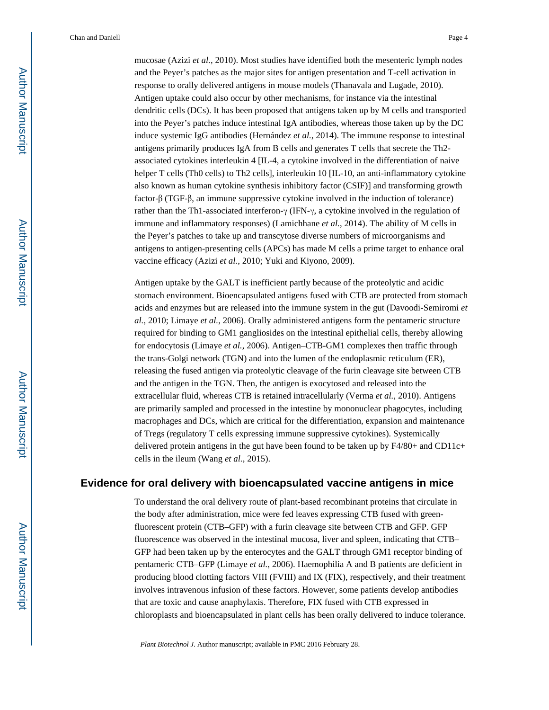mucosae (Azizi *et al.*, 2010). Most studies have identified both the mesenteric lymph nodes and the Peyer's patches as the major sites for antigen presentation and T-cell activation in response to orally delivered antigens in mouse models (Thanavala and Lugade, 2010). Antigen uptake could also occur by other mechanisms, for instance via the intestinal dendritic cells (DCs). It has been proposed that antigens taken up by M cells and transported into the Peyer's patches induce intestinal IgA antibodies, whereas those taken up by the DC induce systemic IgG antibodies (Hernández *et al.*, 2014). The immune response to intestinal antigens primarily produces IgA from B cells and generates T cells that secrete the Th2 associated cytokines interleukin 4 [IL-4, a cytokine involved in the differentiation of naive helper T cells (Th0 cells) to Th2 cells], interleukin 10 [IL-10, an anti-inflammatory cytokine also known as human cytokine synthesis inhibitory factor (CSIF)] and transforming growth factor-β (TGF-β, an immune suppressive cytokine involved in the induction of tolerance) rather than the Th1-associated interferon-γ (IFN-γ, a cytokine involved in the regulation of immune and inflammatory responses) (Lamichhane *et al.*, 2014). The ability of M cells in the Peyer's patches to take up and transcytose diverse numbers of microorganisms and antigens to antigen-presenting cells (APCs) has made M cells a prime target to enhance oral vaccine efficacy (Azizi *et al.*, 2010; Yuki and Kiyono, 2009).

Antigen uptake by the GALT is inefficient partly because of the proteolytic and acidic stomach environment. Bioencapsulated antigens fused with CTB are protected from stomach acids and enzymes but are released into the immune system in the gut (Davoodi-Semiromi *et al.*, 2010; Limaye *et al.*, 2006). Orally administered antigens form the pentameric structure required for binding to GM1 gangliosides on the intestinal epithelial cells, thereby allowing for endocytosis (Limaye *et al.*, 2006). Antigen–CTB-GM1 complexes then traffic through the trans-Golgi network (TGN) and into the lumen of the endoplasmic reticulum (ER), releasing the fused antigen via proteolytic cleavage of the furin cleavage site between CTB and the antigen in the TGN. Then, the antigen is exocytosed and released into the extracellular fluid, whereas CTB is retained intracellularly (Verma *et al.*, 2010). Antigens are primarily sampled and processed in the intestine by mononuclear phagocytes, including macrophages and DCs, which are critical for the differentiation, expansion and maintenance of Tregs (regulatory T cells expressing immune suppressive cytokines). Systemically delivered protein antigens in the gut have been found to be taken up by  $F4/80+$  and CD11c+ cells in the ileum (Wang *et al.*, 2015).

# **Evidence for oral delivery with bioencapsulated vaccine antigens in mice**

To understand the oral delivery route of plant-based recombinant proteins that circulate in the body after administration, mice were fed leaves expressing CTB fused with greenfluorescent protein (CTB–GFP) with a furin cleavage site between CTB and GFP. GFP fluorescence was observed in the intestinal mucosa, liver and spleen, indicating that CTB– GFP had been taken up by the enterocytes and the GALT through GM1 receptor binding of pentameric CTB–GFP (Limaye *et al.*, 2006). Haemophilia A and B patients are deficient in producing blood clotting factors VIII (FVIII) and IX (FIX), respectively, and their treatment involves intravenous infusion of these factors. However, some patients develop antibodies that are toxic and cause anaphylaxis. Therefore, FIX fused with CTB expressed in chloroplasts and bioencapsulated in plant cells has been orally delivered to induce tolerance.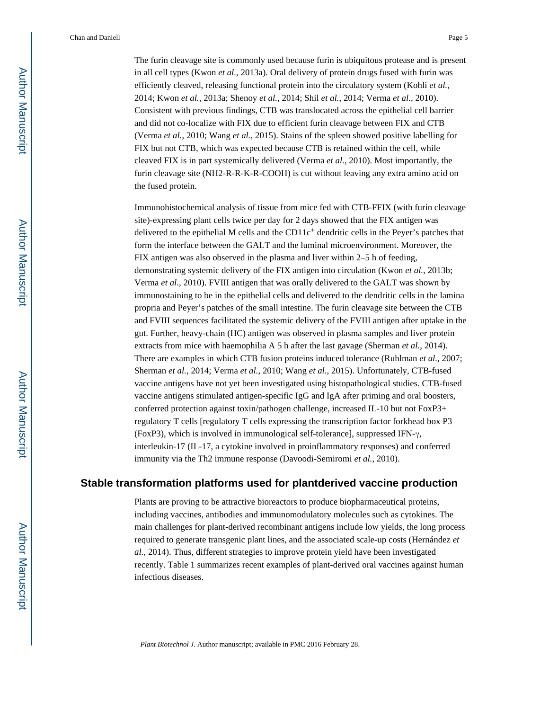The furin cleavage site is commonly used because furin is ubiquitous protease and is present in all cell types (Kwon *et al.*, 2013a). Oral delivery of protein drugs fused with furin was efficiently cleaved, releasing functional protein into the circulatory system (Kohli *et al.*, 2014; Kwon *et al.*, 2013a; Shenoy *et al.*, 2014; Shil *et al.*, 2014; Verma *et al.*, 2010). Consistent with previous findings, CTB was translocated across the epithelial cell barrier and did not co-localize with FIX due to efficient furin cleavage between FIX and CTB (Verma *et al.*, 2010; Wang *et al.*, 2015). Stains of the spleen showed positive labelling for FIX but not CTB, which was expected because CTB is retained within the cell, while cleaved FIX is in part systemically delivered (Verma *et al.*, 2010). Most importantly, the furin cleavage site (NH2-R-R-K-R-COOH) is cut without leaving any extra amino acid on the fused protein.

Immunohistochemical analysis of tissue from mice fed with CTB-FFIX (with furin cleavage site)-expressing plant cells twice per day for 2 days showed that the FIX antigen was delivered to the epithelial M cells and the CD11 $c<sup>+</sup>$  dendritic cells in the Peyer's patches that form the interface between the GALT and the luminal microenvironment. Moreover, the FIX antigen was also observed in the plasma and liver within 2–5 h of feeding, demonstrating systemic delivery of the FIX antigen into circulation (Kwon *et al.*, 2013b; Verma *et al.*, 2010). FVIII antigen that was orally delivered to the GALT was shown by immunostaining to be in the epithelial cells and delivered to the dendritic cells in the lamina propria and Peyer's patches of the small intestine. The furin cleavage site between the CTB and FVIII sequences facilitated the systemic delivery of the FVIII antigen after uptake in the gut. Further, heavy-chain (HC) antigen was observed in plasma samples and liver protein extracts from mice with haemophilia A 5 h after the last gavage (Sherman *et al.*, 2014). There are examples in which CTB fusion proteins induced tolerance (Ruhlman *et al.*, 2007; Sherman *et al.*, 2014; Verma *et al.*, 2010; Wang *et al.*, 2015). Unfortunately, CTB-fused vaccine antigens have not yet been investigated using histopathological studies. CTB-fused vaccine antigens stimulated antigen-specific IgG and IgA after priming and oral boosters, conferred protection against toxin/pathogen challenge, increased IL-10 but not FoxP3+ regulatory T cells [regulatory T cells expressing the transcription factor forkhead box P3 (FoxP3), which is involved in immunological self-tolerance], suppressed IFN-γ, interleukin-17 (IL-17, a cytokine involved in proinflammatory responses) and conferred immunity via the Th2 immune response (Davoodi-Semiromi *et al.*, 2010).

## **Stable transformation platforms used for plantderived vaccine production**

Plants are proving to be attractive bioreactors to produce biopharmaceutical proteins, including vaccines, antibodies and immunomodulatory molecules such as cytokines. The main challenges for plant-derived recombinant antigens include low yields, the long process required to generate transgenic plant lines, and the associated scale-up costs (Hernández *et al.*, 2014). Thus, different strategies to improve protein yield have been investigated recently. Table 1 summarizes recent examples of plant-derived oral vaccines against human infectious diseases.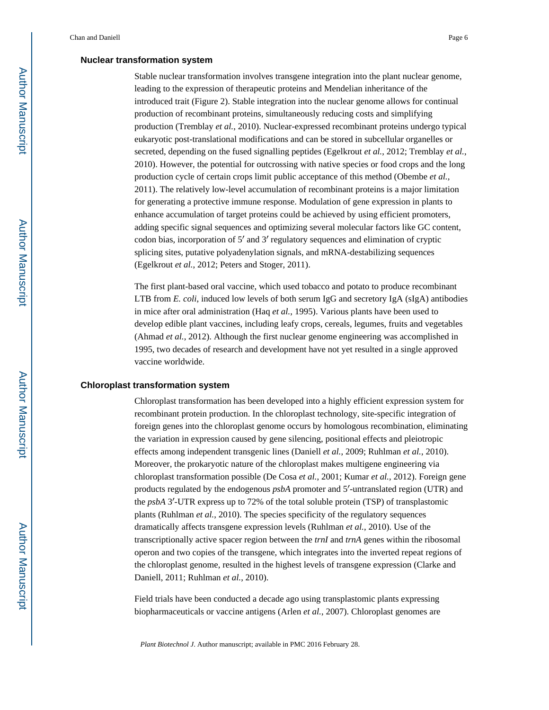#### **Nuclear transformation system**

Stable nuclear transformation involves transgene integration into the plant nuclear genome, leading to the expression of therapeutic proteins and Mendelian inheritance of the introduced trait (Figure 2). Stable integration into the nuclear genome allows for continual production of recombinant proteins, simultaneously reducing costs and simplifying production (Tremblay *et al.*, 2010). Nuclear-expressed recombinant proteins undergo typical eukaryotic post-translational modifications and can be stored in subcellular organelles or secreted, depending on the fused signalling peptides (Egelkrout *et al.*, 2012; Tremblay *et al.*, 2010). However, the potential for outcrossing with native species or food crops and the long production cycle of certain crops limit public acceptance of this method (Obembe *et al.*, 2011). The relatively low-level accumulation of recombinant proteins is a major limitation for generating a protective immune response. Modulation of gene expression in plants to enhance accumulation of target proteins could be achieved by using efficient promoters, adding specific signal sequences and optimizing several molecular factors like GC content, codon bias, incorporation of 5′ and 3′ regulatory sequences and elimination of cryptic splicing sites, putative polyadenylation signals, and mRNA-destabilizing sequences (Egelkrout *et al.*, 2012; Peters and Stoger, 2011).

The first plant-based oral vaccine, which used tobacco and potato to produce recombinant LTB from *E. coli*, induced low levels of both serum IgG and secretory IgA (sIgA) antibodies in mice after oral administration (Haq *et al.*, 1995). Various plants have been used to develop edible plant vaccines, including leafy crops, cereals, legumes, fruits and vegetables (Ahmad *et al.*, 2012). Although the first nuclear genome engineering was accomplished in 1995, two decades of research and development have not yet resulted in a single approved vaccine worldwide.

#### **Chloroplast transformation system**

Chloroplast transformation has been developed into a highly efficient expression system for recombinant protein production. In the chloroplast technology, site-specific integration of foreign genes into the chloroplast genome occurs by homologous recombination, eliminating the variation in expression caused by gene silencing, positional effects and pleiotropic effects among independent transgenic lines (Daniell *et al.*, 2009; Ruhlman *et al.*, 2010). Moreover, the prokaryotic nature of the chloroplast makes multigene engineering via chloroplast transformation possible (De Cosa *et al.*, 2001; Kumar *et al.*, 2012). Foreign gene products regulated by the endogenous *psbA* promoter and 5′-untranslated region (UTR) and the *psbA* 3′-UTR express up to 72% of the total soluble protein (TSP) of transplastomic plants (Ruhlman *et al.*, 2010). The species specificity of the regulatory sequences dramatically affects transgene expression levels (Ruhlman *et al.*, 2010). Use of the transcriptionally active spacer region between the *trnI* and *trnA* genes within the ribosomal operon and two copies of the transgene, which integrates into the inverted repeat regions of the chloroplast genome, resulted in the highest levels of transgene expression (Clarke and Daniell, 2011; Ruhlman *et al.*, 2010).

Field trials have been conducted a decade ago using transplastomic plants expressing biopharmaceuticals or vaccine antigens (Arlen *et al.*, 2007). Chloroplast genomes are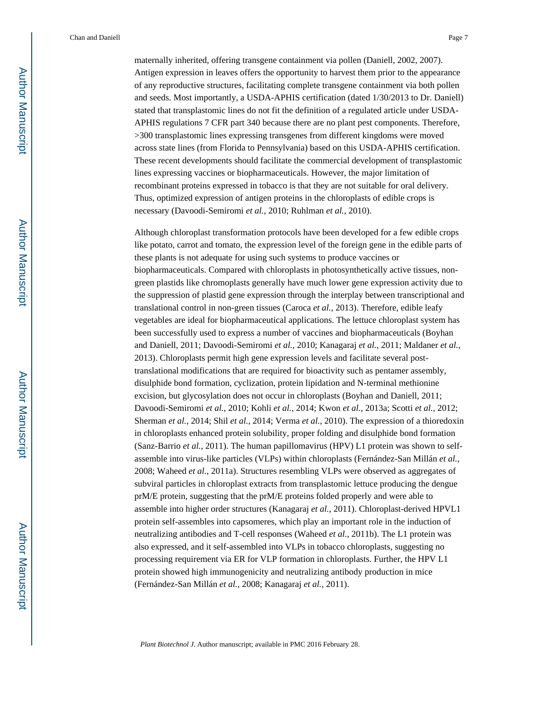maternally inherited, offering transgene containment via pollen (Daniell, 2002, 2007). Antigen expression in leaves offers the opportunity to harvest them prior to the appearance of any reproductive structures, facilitating complete transgene containment via both pollen and seeds. Most importantly, a USDA-APHIS certification (dated 1/30/2013 to Dr. Daniell) stated that transplastomic lines do not fit the definition of a regulated article under USDA-APHIS regulations 7 CFR part 340 because there are no plant pest components. Therefore, >300 transplastomic lines expressing transgenes from different kingdoms were moved across state lines (from Florida to Pennsylvania) based on this USDA-APHIS certification. These recent developments should facilitate the commercial development of transplastomic lines expressing vaccines or biopharmaceuticals. However, the major limitation of recombinant proteins expressed in tobacco is that they are not suitable for oral delivery. Thus, optimized expression of antigen proteins in the chloroplasts of edible crops is necessary (Davoodi-Semiromi *et al.*, 2010; Ruhlman *et al.*, 2010).

Although chloroplast transformation protocols have been developed for a few edible crops like potato, carrot and tomato, the expression level of the foreign gene in the edible parts of these plants is not adequate for using such systems to produce vaccines or biopharmaceuticals. Compared with chloroplasts in photosynthetically active tissues, nongreen plastids like chromoplasts generally have much lower gene expression activity due to the suppression of plastid gene expression through the interplay between transcriptional and translational control in non-green tissues (Caroca *et al.*, 2013). Therefore, edible leafy vegetables are ideal for biopharmaceutical applications. The lettuce chloroplast system has been successfully used to express a number of vaccines and biopharmaceuticals (Boyhan and Daniell, 2011; Davoodi-Semiromi *et al.*, 2010; Kanagaraj *et al.*, 2011; Maldaner *et al.*, 2013). Chloroplasts permit high gene expression levels and facilitate several posttranslational modifications that are required for bioactivity such as pentamer assembly, disulphide bond formation, cyclization, protein lipidation and N-terminal methionine excision, but glycosylation does not occur in chloroplasts (Boyhan and Daniell, 2011; Davoodi-Semiromi *et al.*, 2010; Kohli *et al.*, 2014; Kwon *et al.*, 2013a; Scotti *et al.*, 2012; Sherman *et al.*, 2014; Shil *et al.*, 2014; Verma *et al.*, 2010). The expression of a thioredoxin in chloroplasts enhanced protein solubility, proper folding and disulphide bond formation (Sanz-Barrio *et al.*, 2011). The human papillomavirus (HPV) L1 protein was shown to selfassemble into virus-like particles (VLPs) within chloroplasts (Fernández-San Millán *et al.*, 2008; Waheed *et al.*, 2011a). Structures resembling VLPs were observed as aggregates of subviral particles in chloroplast extracts from transplastomic lettuce producing the dengue prM/E protein, suggesting that the prM/E proteins folded properly and were able to assemble into higher order structures (Kanagaraj *et al.*, 2011). Chloroplast-derived HPVL1 protein self-assembles into capsomeres, which play an important role in the induction of neutralizing antibodies and T-cell responses (Waheed *et al.*, 2011b). The L1 protein was also expressed, and it self-assembled into VLPs in tobacco chloroplasts, suggesting no processing requirement via ER for VLP formation in chloroplasts. Further, the HPV L1 protein showed high immunogenicity and neutralizing antibody production in mice (Fernández-San Millán *et al.*, 2008; Kanagaraj *et al.*, 2011).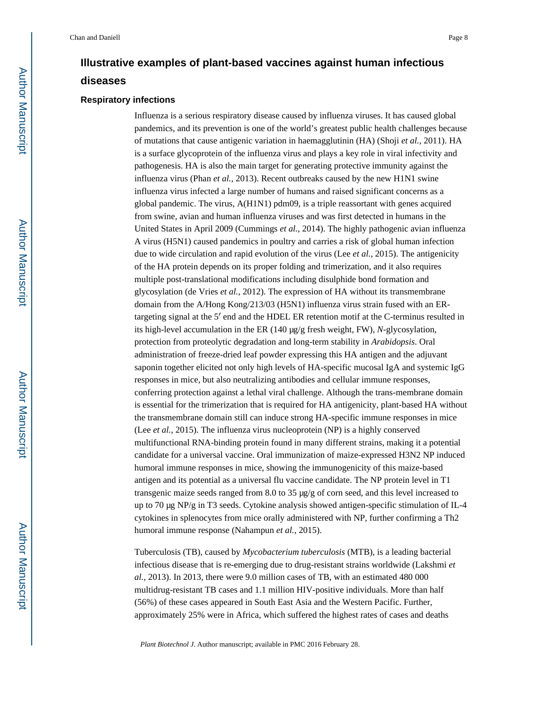# **Illustrative examples of plant-based vaccines against human infectious diseases**

#### **Respiratory infections**

Influenza is a serious respiratory disease caused by influenza viruses. It has caused global pandemics, and its prevention is one of the world's greatest public health challenges because of mutations that cause antigenic variation in haemagglutinin (HA) (Shoji *et al.*, 2011). HA is a surface glycoprotein of the influenza virus and plays a key role in viral infectivity and pathogenesis. HA is also the main target for generating protective immunity against the influenza virus (Phan *et al.*, 2013). Recent outbreaks caused by the new H1N1 swine influenza virus infected a large number of humans and raised significant concerns as a global pandemic. The virus, A(H1N1) pdm09, is a triple reassortant with genes acquired from swine, avian and human influenza viruses and was first detected in humans in the United States in April 2009 (Cummings *et al.*, 2014). The highly pathogenic avian influenza A virus (H5N1) caused pandemics in poultry and carries a risk of global human infection due to wide circulation and rapid evolution of the virus (Lee *et al.*, 2015). The antigenicity of the HA protein depends on its proper folding and trimerization, and it also requires multiple post-translational modifications including disulphide bond formation and glycosylation (de Vries *et al.*, 2012). The expression of HA without its transmembrane domain from the A/Hong Kong/213/03 (H5N1) influenza virus strain fused with an ERtargeting signal at the 5′ end and the HDEL ER retention motif at the C-terminus resulted in its high-level accumulation in the ER (140 μg/g fresh weight, FW), *N*-glycosylation, protection from proteolytic degradation and long-term stability in *Arabidopsis*. Oral administration of freeze-dried leaf powder expressing this HA antigen and the adjuvant saponin together elicited not only high levels of HA-specific mucosal IgA and systemic IgG responses in mice, but also neutralizing antibodies and cellular immune responses, conferring protection against a lethal viral challenge. Although the trans-membrane domain is essential for the trimerization that is required for HA antigenicity, plant-based HA without the transmembrane domain still can induce strong HA-specific immune responses in mice (Lee *et al.*, 2015). The influenza virus nucleoprotein (NP) is a highly conserved multifunctional RNA-binding protein found in many different strains, making it a potential candidate for a universal vaccine. Oral immunization of maize-expressed H3N2 NP induced humoral immune responses in mice, showing the immunogenicity of this maize-based antigen and its potential as a universal flu vaccine candidate. The NP protein level in T1 transgenic maize seeds ranged from 8.0 to 35  $\mu$ g/g of corn seed, and this level increased to up to 70 μg NP/g in T3 seeds. Cytokine analysis showed antigen-specific stimulation of IL-4 cytokines in splenocytes from mice orally administered with NP, further confirming a Th2 humoral immune response (Nahampun *et al.*, 2015).

Tuberculosis (TB), caused by *Mycobacterium tuberculosis* (MTB), is a leading bacterial infectious disease that is re-emerging due to drug-resistant strains worldwide (Lakshmi *et al.*, 2013). In 2013, there were 9.0 million cases of TB, with an estimated 480 000 multidrug-resistant TB cases and 1.1 million HIV-positive individuals. More than half (56%) of these cases appeared in South East Asia and the Western Pacific. Further, approximately 25% were in Africa, which suffered the highest rates of cases and deaths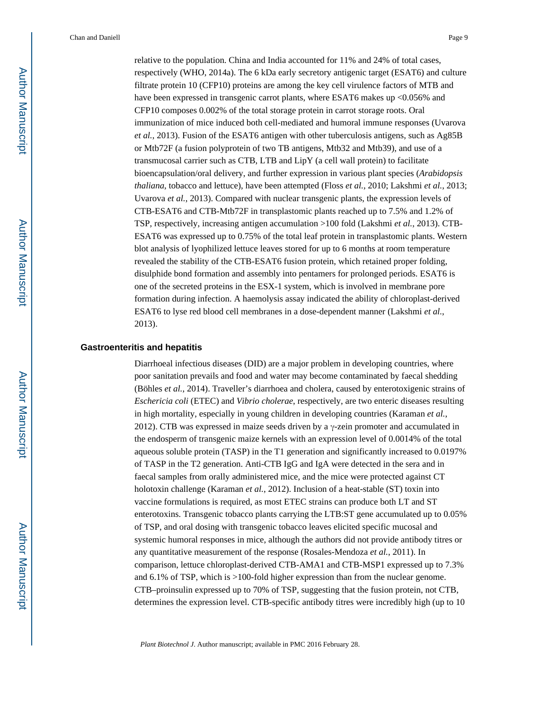relative to the population. China and India accounted for 11% and 24% of total cases, respectively (WHO, 2014a). The 6 kDa early secretory antigenic target (ESAT6) and culture filtrate protein 10 (CFP10) proteins are among the key cell virulence factors of MTB and have been expressed in transgenic carrot plants, where ESAT6 makes up <0.056% and CFP10 composes 0.002% of the total storage protein in carrot storage roots. Oral immunization of mice induced both cell-mediated and humoral immune responses (Uvarova *et al.*, 2013). Fusion of the ESAT6 antigen with other tuberculosis antigens, such as Ag85B or Mtb72F (a fusion polyprotein of two TB antigens, Mtb32 and Mtb39), and use of a transmucosal carrier such as CTB, LTB and LipY (a cell wall protein) to facilitate bioencapsulation/oral delivery, and further expression in various plant species (*Arabidopsis thaliana*, tobacco and lettuce), have been attempted (Floss *et al.*, 2010; Lakshmi *et al.*, 2013; Uvarova *et al.*, 2013). Compared with nuclear transgenic plants, the expression levels of CTB-ESAT6 and CTB-Mtb72F in transplastomic plants reached up to 7.5% and 1.2% of TSP, respectively, increasing antigen accumulation >100 fold (Lakshmi *et al.*, 2013). CTB-ESAT6 was expressed up to 0.75% of the total leaf protein in transplastomic plants. Western blot analysis of lyophilized lettuce leaves stored for up to 6 months at room temperature revealed the stability of the CTB-ESAT6 fusion protein, which retained proper folding, disulphide bond formation and assembly into pentamers for prolonged periods. ESAT6 is one of the secreted proteins in the ESX-1 system, which is involved in membrane pore formation during infection. A haemolysis assay indicated the ability of chloroplast-derived ESAT6 to lyse red blood cell membranes in a dose-dependent manner (Lakshmi *et al.*, 2013).

#### **Gastroenteritis and hepatitis**

Diarrhoeal infectious diseases (DID) are a major problem in developing countries, where poor sanitation prevails and food and water may become contaminated by faecal shedding (Böhles *et al.*, 2014). Traveller's diarrhoea and cholera, caused by enterotoxigenic strains of *Eschericia coli* (ETEC) and *Vibrio cholerae*, respectively, are two enteric diseases resulting in high mortality, especially in young children in developing countries (Karaman *et al.*, 2012). CTB was expressed in maize seeds driven by a  $\gamma$ -zein promoter and accumulated in the endosperm of transgenic maize kernels with an expression level of 0.0014% of the total aqueous soluble protein (TASP) in the T1 generation and significantly increased to 0.0197% of TASP in the T2 generation. Anti-CTB IgG and IgA were detected in the sera and in faecal samples from orally administered mice, and the mice were protected against CT holotoxin challenge (Karaman *et al.*, 2012). Inclusion of a heat-stable (ST) toxin into vaccine formulations is required, as most ETEC strains can produce both LT and ST enterotoxins. Transgenic tobacco plants carrying the LTB:ST gene accumulated up to 0.05% of TSP, and oral dosing with transgenic tobacco leaves elicited specific mucosal and systemic humoral responses in mice, although the authors did not provide antibody titres or any quantitative measurement of the response (Rosales-Mendoza *et al.*, 2011). In comparison, lettuce chloroplast-derived CTB-AMA1 and CTB-MSP1 expressed up to 7.3% and 6.1% of TSP, which is >100-fold higher expression than from the nuclear genome. CTB–proinsulin expressed up to 70% of TSP, suggesting that the fusion protein, not CTB, determines the expression level. CTB-specific antibody titres were incredibly high (up to 10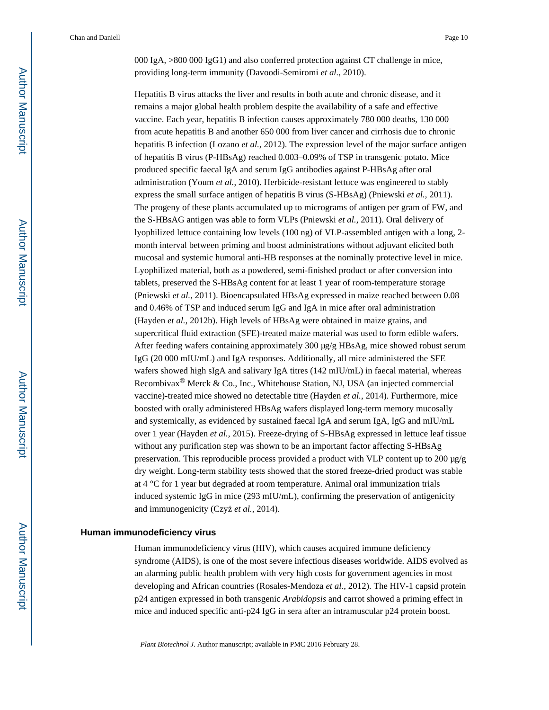000 IgA, >800 000 IgG1) and also conferred protection against CT challenge in mice, providing long-term immunity (Davoodi-Semiromi *et al.*, 2010).

Hepatitis B virus attacks the liver and results in both acute and chronic disease, and it remains a major global health problem despite the availability of a safe and effective vaccine. Each year, hepatitis B infection causes approximately 780 000 deaths, 130 000 from acute hepatitis B and another 650 000 from liver cancer and cirrhosis due to chronic hepatitis B infection (Lozano *et al.*, 2012). The expression level of the major surface antigen of hepatitis B virus (P-HBsAg) reached 0.003–0.09% of TSP in transgenic potato. Mice produced specific faecal IgA and serum IgG antibodies against P-HBsAg after oral administration (Youm *et al.*, 2010). Herbicide-resistant lettuce was engineered to stably express the small surface antigen of hepatitis B virus (S-HBsAg) (Pniewski *et al.*, 2011). The progeny of these plants accumulated up to micrograms of antigen per gram of FW, and the S-HBsAG antigen was able to form VLPs (Pniewski *et al.*, 2011). Oral delivery of lyophilized lettuce containing low levels (100 ng) of VLP-assembled antigen with a long, 2 month interval between priming and boost administrations without adjuvant elicited both mucosal and systemic humoral anti-HB responses at the nominally protective level in mice. Lyophilized material, both as a powdered, semi-finished product or after conversion into tablets, preserved the S-HBsAg content for at least 1 year of room-temperature storage (Pniewski *et al.*, 2011). Bioencapsulated HBsAg expressed in maize reached between 0.08 and 0.46% of TSP and induced serum IgG and IgA in mice after oral administration (Hayden *et al.*, 2012b). High levels of HBsAg were obtained in maize grains, and supercritical fluid extraction (SFE)-treated maize material was used to form edible wafers. After feeding wafers containing approximately 300 μg/g HBsAg, mice showed robust serum IgG (20 000 mIU/mL) and IgA responses. Additionally, all mice administered the SFE wafers showed high sIgA and salivary IgA titres (142 mIU/mL) in faecal material, whereas Recombivax® Merck & Co., Inc., Whitehouse Station, NJ, USA (an injected commercial vaccine)-treated mice showed no detectable titre (Hayden *et al.*, 2014). Furthermore, mice boosted with orally administered HBsAg wafers displayed long-term memory mucosally and systemically, as evidenced by sustained faecal IgA and serum IgA, IgG and mIU/mL over 1 year (Hayden *et al.*, 2015). Freeze-drying of S-HBsAg expressed in lettuce leaf tissue without any purification step was shown to be an important factor affecting S-HBsAg preservation. This reproducible process provided a product with VLP content up to 200  $\mu$ g/g dry weight. Long-term stability tests showed that the stored freeze-dried product was stable at 4 °C for 1 year but degraded at room temperature. Animal oral immunization trials induced systemic IgG in mice (293 mIU/mL), confirming the preservation of antigenicity and immunogenicity (Czy *et al.*, 2014).

#### **Human immunodeficiency virus**

Human immunodeficiency virus (HIV), which causes acquired immune deficiency syndrome (AIDS), is one of the most severe infectious diseases worldwide. AIDS evolved as an alarming public health problem with very high costs for government agencies in most developing and African countries (Rosales-Mendoza *et al.*, 2012). The HIV-1 capsid protein p24 antigen expressed in both transgenic *Arabidopsis* and carrot showed a priming effect in mice and induced specific anti-p24 IgG in sera after an intramuscular p24 protein boost.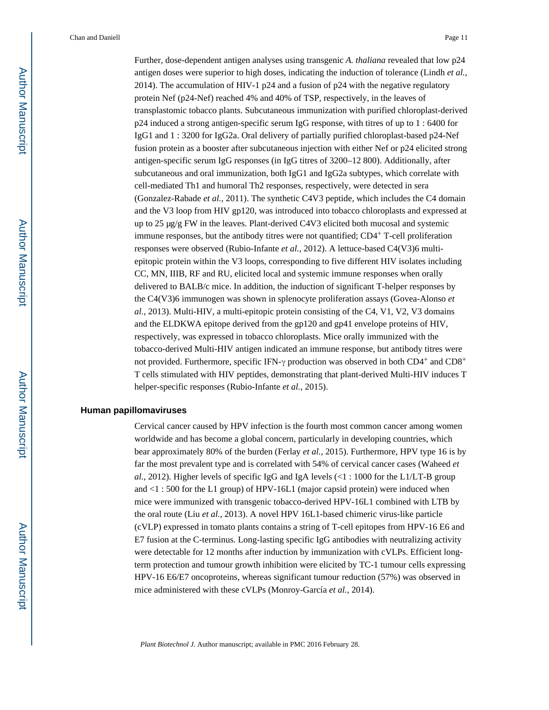Further, dose-dependent antigen analyses using transgenic *A. thaliana* revealed that low p24 antigen doses were superior to high doses, indicating the induction of tolerance (Lindh *et al.*, 2014). The accumulation of HIV-1 p24 and a fusion of p24 with the negative regulatory protein Nef (p24-Nef) reached 4% and 40% of TSP, respectively, in the leaves of transplastomic tobacco plants. Subcutaneous immunization with purified chloroplast-derived p24 induced a strong antigen-specific serum IgG response, with titres of up to 1 : 6400 for IgG1 and 1 : 3200 for IgG2a. Oral delivery of partially purified chloroplast-based p24-Nef fusion protein as a booster after subcutaneous injection with either Nef or p24 elicited strong antigen-specific serum IgG responses (in IgG titres of 3200–12 800). Additionally, after subcutaneous and oral immunization, both IgG1 and IgG2a subtypes, which correlate with cell-mediated Th1 and humoral Th2 responses, respectively, were detected in sera (Gonzalez-Rabade *et al.*, 2011). The synthetic C4V3 peptide, which includes the C4 domain and the V3 loop from HIV gp120, was introduced into tobacco chloroplasts and expressed at up to 25  $\mu$ g/g FW in the leaves. Plant-derived C4V3 elicited both mucosal and systemic immune responses, but the antibody titres were not quantified; CD4+ T-cell proliferation responses were observed (Rubio-Infante *et al.*, 2012). A lettuce-based C4(V3)6 multiepitopic protein within the V3 loops, corresponding to five different HIV isolates including CC, MN, IIIB, RF and RU, elicited local and systemic immune responses when orally delivered to BALB/c mice. In addition, the induction of significant T-helper responses by the C4(V3)6 immunogen was shown in splenocyte proliferation assays (Govea-Alonso *et al.*, 2013). Multi-HIV, a multi-epitopic protein consisting of the C4, V1, V2, V3 domains and the ELDKWA epitope derived from the gp120 and gp41 envelope proteins of HIV, respectively, was expressed in tobacco chloroplasts. Mice orally immunized with the tobacco-derived Multi-HIV antigen indicated an immune response, but antibody titres were not provided. Furthermore, specific IFN- $\gamma$  production was observed in both CD4<sup>+</sup> and CD8<sup>+</sup> T cells stimulated with HIV peptides, demonstrating that plant-derived Multi-HIV induces T helper-specific responses (Rubio-Infante *et al.*, 2015).

#### **Human papillomaviruses**

Cervical cancer caused by HPV infection is the fourth most common cancer among women worldwide and has become a global concern, particularly in developing countries, which bear approximately 80% of the burden (Ferlay *et al.*, 2015). Furthermore, HPV type 16 is by far the most prevalent type and is correlated with 54% of cervical cancer cases (Waheed *et al.*, 2012). Higher levels of specific IgG and IgA levels (<1 : 1000 for the L1/LT-B group and <1 : 500 for the L1 group) of HPV-16L1 (major capsid protein) were induced when mice were immunized with transgenic tobacco-derived HPV-16L1 combined with LTB by the oral route (Liu *et al.*, 2013). A novel HPV 16L1-based chimeric virus-like particle (cVLP) expressed in tomato plants contains a string of T-cell epitopes from HPV-16 E6 and E7 fusion at the C-terminus. Long-lasting specific IgG antibodies with neutralizing activity were detectable for 12 months after induction by immunization with cVLPs. Efficient longterm protection and tumour growth inhibition were elicited by TC-1 tumour cells expressing HPV-16 E6/E7 oncoproteins, whereas significant tumour reduction (57%) was observed in mice administered with these cVLPs (Monroy-García *et al.*, 2014).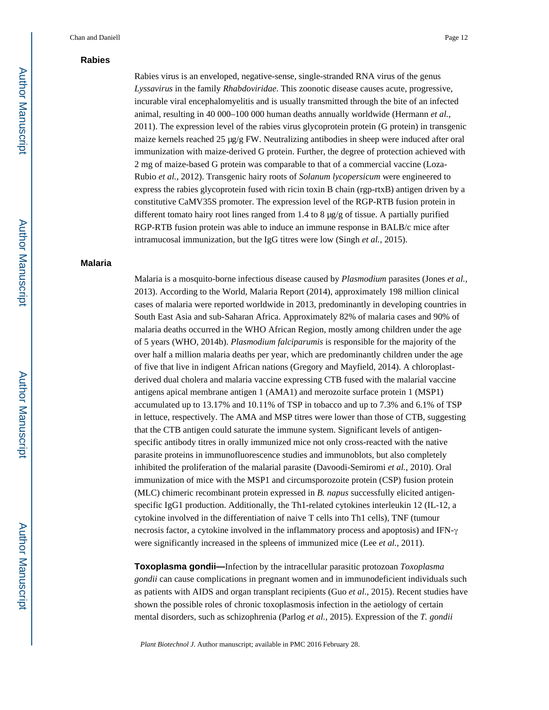### **Rabies**

Rabies virus is an enveloped, negative-sense, single-stranded RNA virus of the genus *Lyssavirus* in the family *Rhabdoviridae*. This zoonotic disease causes acute, progressive, incurable viral encephalomyelitis and is usually transmitted through the bite of an infected animal, resulting in 40 000–100 000 human deaths annually worldwide (Hermann *et al.*, 2011). The expression level of the rabies virus glycoprotein protein (G protein) in transgenic maize kernels reached 25  $\mu$ g/g FW. Neutralizing antibodies in sheep were induced after oral immunization with maize-derived G protein. Further, the degree of protection achieved with 2 mg of maize-based G protein was comparable to that of a commercial vaccine (Loza-Rubio *et al.*, 2012). Transgenic hairy roots of *Solanum lycopersicum* were engineered to express the rabies glycoprotein fused with ricin toxin B chain (rgp-rtxB) antigen driven by a constitutive CaMV35S promoter. The expression level of the RGP-RTB fusion protein in different tomato hairy root lines ranged from 1.4 to 8  $\mu$ g/g of tissue. A partially purified RGP-RTB fusion protein was able to induce an immune response in BALB/c mice after intramucosal immunization, but the IgG titres were low (Singh *et al.*, 2015).

#### **Malaria**

Malaria is a mosquito-borne infectious disease caused by *Plasmodium* parasites (Jones *et al.*, 2013). According to the World, Malaria Report (2014), approximately 198 million clinical cases of malaria were reported worldwide in 2013, predominantly in developing countries in South East Asia and sub-Saharan Africa. Approximately 82% of malaria cases and 90% of malaria deaths occurred in the WHO African Region, mostly among children under the age of 5 years (WHO, 2014b). *Plasmodium falciparumis* is responsible for the majority of the over half a million malaria deaths per year, which are predominantly children under the age of five that live in indigent African nations (Gregory and Mayfield, 2014). A chloroplastderived dual cholera and malaria vaccine expressing CTB fused with the malarial vaccine antigens apical membrane antigen 1 (AMA1) and merozoite surface protein 1 (MSP1) accumulated up to 13.17% and 10.11% of TSP in tobacco and up to 7.3% and 6.1% of TSP in lettuce, respectively. The AMA and MSP titres were lower than those of CTB, suggesting that the CTB antigen could saturate the immune system. Significant levels of antigenspecific antibody titres in orally immunized mice not only cross-reacted with the native parasite proteins in immunofluorescence studies and immunoblots, but also completely inhibited the proliferation of the malarial parasite (Davoodi-Semiromi *et al.*, 2010). Oral immunization of mice with the MSP1 and circumsporozoite protein (CSP) fusion protein (MLC) chimeric recombinant protein expressed in *B. napus* successfully elicited antigenspecific IgG1 production. Additionally, the Th1-related cytokines interleukin 12 (IL-12, a cytokine involved in the differentiation of naive T cells into Th1 cells), TNF (tumour necrosis factor, a cytokine involved in the inflammatory process and apoptosis) and IFN-γ were significantly increased in the spleens of immunized mice (Lee *et al.*, 2011).

**Toxoplasma gondii—**Infection by the intracellular parasitic protozoan *Toxoplasma gondii* can cause complications in pregnant women and in immunodeficient individuals such as patients with AIDS and organ transplant recipients (Guo *et al.*, 2015). Recent studies have shown the possible roles of chronic toxoplasmosis infection in the aetiology of certain mental disorders, such as schizophrenia (Parlog *et al.*, 2015). Expression of the *T. gondii*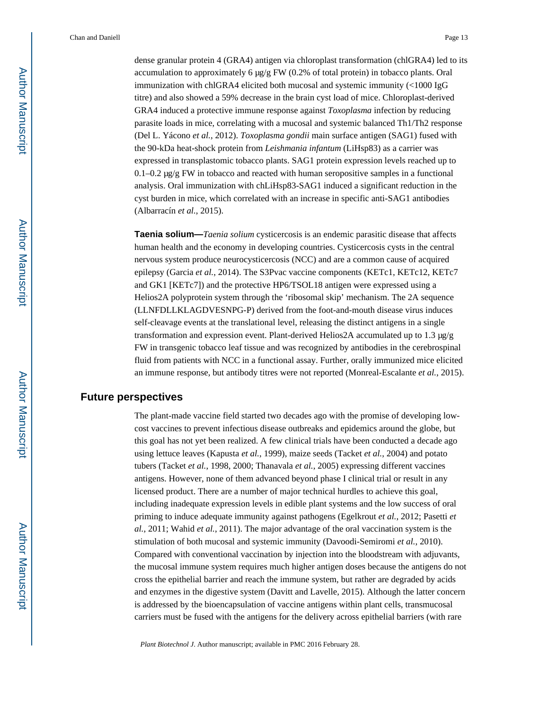dense granular protein 4 (GRA4) antigen via chloroplast transformation (chlGRA4) led to its accumulation to approximately 6  $\mu$ g/g FW (0.2% of total protein) in tobacco plants. Oral immunization with chlGRA4 elicited both mucosal and systemic immunity (<1000 IgG titre) and also showed a 59% decrease in the brain cyst load of mice. Chloroplast-derived GRA4 induced a protective immune response against *Toxoplasma* infection by reducing parasite loads in mice, correlating with a mucosal and systemic balanced Th1/Th2 response (Del L. Yácono *et al.*, 2012). *Toxoplasma gondii* main surface antigen (SAG1) fused with the 90-kDa heat-shock protein from *Leishmania infantum* (LiHsp83) as a carrier was expressed in transplastomic tobacco plants. SAG1 protein expression levels reached up to 0.1–0.2 μg/g FW in tobacco and reacted with human seropositive samples in a functional analysis. Oral immunization with chLiHsp83-SAG1 induced a significant reduction in the cyst burden in mice, which correlated with an increase in specific anti-SAG1 antibodies (Albarracín *et al.*, 2015).

**Taenia solium—***Taenia solium* cysticercosis is an endemic parasitic disease that affects human health and the economy in developing countries. Cysticercosis cysts in the central nervous system produce neurocysticercosis (NCC) and are a common cause of acquired epilepsy (Garcia *et al.*, 2014). The S3Pvac vaccine components (KETc1, KETc12, KETc7 and GK1 [KETc7]) and the protective HP6/TSOL18 antigen were expressed using a Helios2A polyprotein system through the 'ribosomal skip' mechanism. The 2A sequence (LLNFDLLKLAGDVESNPG-P) derived from the foot-and-mouth disease virus induces self-cleavage events at the translational level, releasing the distinct antigens in a single transformation and expression event. Plant-derived Helios2A accumulated up to 1.3 μg/g FW in transgenic tobacco leaf tissue and was recognized by antibodies in the cerebrospinal fluid from patients with NCC in a functional assay. Further, orally immunized mice elicited an immune response, but antibody titres were not reported (Monreal-Escalante *et al.*, 2015).

#### **Future perspectives**

The plant-made vaccine field started two decades ago with the promise of developing lowcost vaccines to prevent infectious disease outbreaks and epidemics around the globe, but this goal has not yet been realized. A few clinical trials have been conducted a decade ago using lettuce leaves (Kapusta *et al.*, 1999), maize seeds (Tacket *et al.*, 2004) and potato tubers (Tacket *et al.*, 1998, 2000; Thanavala *et al.*, 2005) expressing different vaccines antigens. However, none of them advanced beyond phase I clinical trial or result in any licensed product. There are a number of major technical hurdles to achieve this goal, including inadequate expression levels in edible plant systems and the low success of oral priming to induce adequate immunity against pathogens (Egelkrout *et al.*, 2012; Pasetti *et al.*, 2011; Wahid *et al.*, 2011). The major advantage of the oral vaccination system is the stimulation of both mucosal and systemic immunity (Davoodi-Semiromi *et al.*, 2010). Compared with conventional vaccination by injection into the bloodstream with adjuvants, the mucosal immune system requires much higher antigen doses because the antigens do not cross the epithelial barrier and reach the immune system, but rather are degraded by acids and enzymes in the digestive system (Davitt and Lavelle, 2015). Although the latter concern is addressed by the bioencapsulation of vaccine antigens within plant cells, transmucosal carriers must be fused with the antigens for the delivery across epithelial barriers (with rare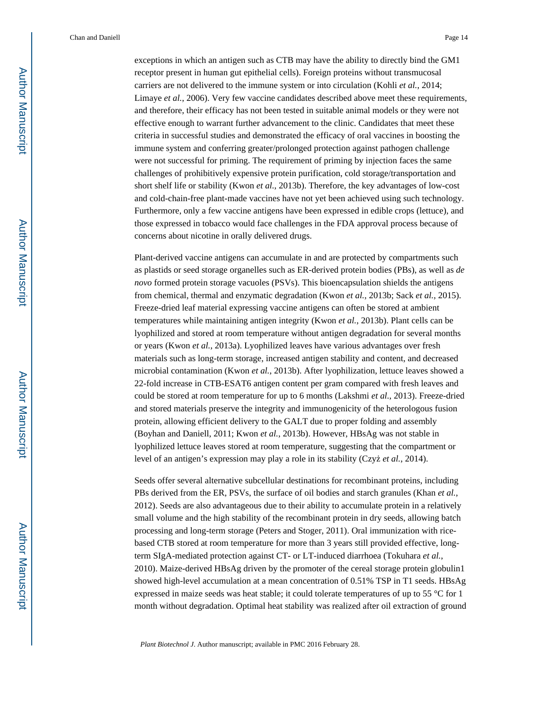exceptions in which an antigen such as CTB may have the ability to directly bind the GM1 receptor present in human gut epithelial cells). Foreign proteins without transmucosal carriers are not delivered to the immune system or into circulation (Kohli *et al.*, 2014; Limaye et al., 2006). Very few vaccine candidates described above meet these requirements, and therefore, their efficacy has not been tested in suitable animal models or they were not effective enough to warrant further advancement to the clinic. Candidates that meet these criteria in successful studies and demonstrated the efficacy of oral vaccines in boosting the immune system and conferring greater/prolonged protection against pathogen challenge were not successful for priming. The requirement of priming by injection faces the same challenges of prohibitively expensive protein purification, cold storage/transportation and short shelf life or stability (Kwon *et al.*, 2013b). Therefore, the key advantages of low-cost and cold-chain-free plant-made vaccines have not yet been achieved using such technology. Furthermore, only a few vaccine antigens have been expressed in edible crops (lettuce), and those expressed in tobacco would face challenges in the FDA approval process because of concerns about nicotine in orally delivered drugs.

Plant-derived vaccine antigens can accumulate in and are protected by compartments such as plastids or seed storage organelles such as ER-derived protein bodies (PBs), as well as *de novo* formed protein storage vacuoles (PSVs). This bioencapsulation shields the antigens from chemical, thermal and enzymatic degradation (Kwon *et al.*, 2013b; Sack *et al.*, 2015). Freeze-dried leaf material expressing vaccine antigens can often be stored at ambient temperatures while maintaining antigen integrity (Kwon *et al.*, 2013b). Plant cells can be lyophilized and stored at room temperature without antigen degradation for several months or years (Kwon *et al.*, 2013a). Lyophilized leaves have various advantages over fresh materials such as long-term storage, increased antigen stability and content, and decreased microbial contamination (Kwon *et al.*, 2013b). After lyophilization, lettuce leaves showed a 22-fold increase in CTB-ESAT6 antigen content per gram compared with fresh leaves and could be stored at room temperature for up to 6 months (Lakshmi *et al.*, 2013). Freeze-dried and stored materials preserve the integrity and immunogenicity of the heterologous fusion protein, allowing efficient delivery to the GALT due to proper folding and assembly (Boyhan and Daniell, 2011; Kwon *et al.*, 2013b). However, HBsAg was not stable in lyophilized lettuce leaves stored at room temperature, suggesting that the compartment or level of an antigen's expression may play a role in its stability (Czy *et al.*, 2014).

Seeds offer several alternative subcellular destinations for recombinant proteins, including PBs derived from the ER, PSVs, the surface of oil bodies and starch granules (Khan *et al.*, 2012). Seeds are also advantageous due to their ability to accumulate protein in a relatively small volume and the high stability of the recombinant protein in dry seeds, allowing batch processing and long-term storage (Peters and Stoger, 2011). Oral immunization with ricebased CTB stored at room temperature for more than 3 years still provided effective, longterm SIgA-mediated protection against CT- or LT-induced diarrhoea (Tokuhara *et al.*, 2010). Maize-derived HBsAg driven by the promoter of the cereal storage protein globulin1 showed high-level accumulation at a mean concentration of 0.51% TSP in T1 seeds. HBsAg expressed in maize seeds was heat stable; it could tolerate temperatures of up to 55 °C for 1 month without degradation. Optimal heat stability was realized after oil extraction of ground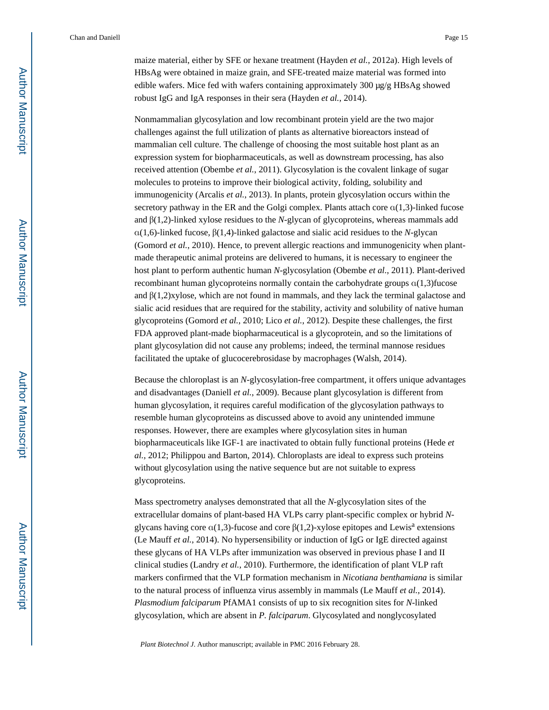maize material, either by SFE or hexane treatment (Hayden *et al.*, 2012a). High levels of HBsAg were obtained in maize grain, and SFE-treated maize material was formed into edible wafers. Mice fed with wafers containing approximately  $300 \mu g/g$  HBsAg showed robust IgG and IgA responses in their sera (Hayden *et al.*, 2014).

Nonmammalian glycosylation and low recombinant protein yield are the two major challenges against the full utilization of plants as alternative bioreactors instead of mammalian cell culture. The challenge of choosing the most suitable host plant as an expression system for biopharmaceuticals, as well as downstream processing, has also received attention (Obembe *et al.*, 2011). Glycosylation is the covalent linkage of sugar molecules to proteins to improve their biological activity, folding, solubility and immunogenicity (Arcalis *et al.*, 2013). In plants, protein glycosylation occurs within the secretory pathway in the ER and the Golgi complex. Plants attach core  $\alpha(1,3)$ -linked fucose and β(1,2)-linked xylose residues to the *N*-glycan of glycoproteins, whereas mammals add α(1,6)-linked fucose, β(1,4)-linked galactose and sialic acid residues to the *N*-glycan (Gomord *et al.*, 2010). Hence, to prevent allergic reactions and immunogenicity when plantmade therapeutic animal proteins are delivered to humans, it is necessary to engineer the host plant to perform authentic human *N*-glycosylation (Obembe *et al.*, 2011). Plant-derived recombinant human glycoproteins normally contain the carbohydrate groups  $\alpha(1,3)$  fucose and  $\beta(1,2)$ xylose, which are not found in mammals, and they lack the terminal galactose and sialic acid residues that are required for the stability, activity and solubility of native human glycoproteins (Gomord *et al.*, 2010; Lico *et al.*, 2012). Despite these challenges, the first FDA approved plant-made biopharmaceutical is a glycoprotein, and so the limitations of plant glycosylation did not cause any problems; indeed, the terminal mannose residues facilitated the uptake of glucocerebrosidase by macrophages (Walsh, 2014).

Because the chloroplast is an *N*-glycosylation-free compartment, it offers unique advantages and disadvantages (Daniell *et al.*, 2009). Because plant glycosylation is different from human glycosylation, it requires careful modification of the glycosylation pathways to resemble human glycoproteins as discussed above to avoid any unintended immune responses. However, there are examples where glycosylation sites in human biopharmaceuticals like IGF-1 are inactivated to obtain fully functional proteins (Hede *et al.*, 2012; Philippou and Barton, 2014). Chloroplasts are ideal to express such proteins without glycosylation using the native sequence but are not suitable to express glycoproteins.

Mass spectrometry analyses demonstrated that all the *N-*glycosylation sites of the extracellular domains of plant-based HA VLPs carry plant-specific complex or hybrid *N*glycans having core  $\alpha(1,3)$ -fucose and core  $\beta(1,2)$ -xylose epitopes and Lewis<sup>a</sup> extensions (Le Mauff *et al.*, 2014). No hypersensibility or induction of IgG or IgE directed against these glycans of HA VLPs after immunization was observed in previous phase I and II clinical studies (Landry *et al.*, 2010). Furthermore, the identification of plant VLP raft markers confirmed that the VLP formation mechanism in *Nicotiana benthamiana* is similar to the natural process of influenza virus assembly in mammals (Le Mauff *et al.*, 2014). *Plasmodium falciparum* PfAMA1 consists of up to six recognition sites for *N*-linked glycosylation, which are absent in *P. falciparum*. Glycosylated and nonglycosylated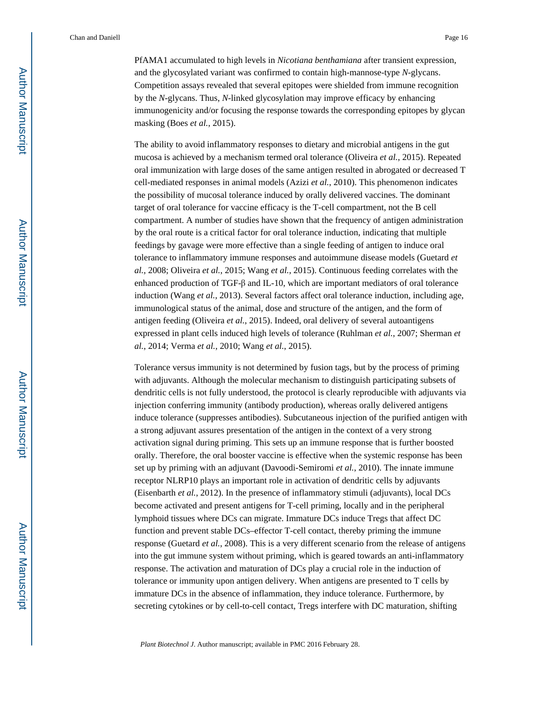PfAMA1 accumulated to high levels in *Nicotiana benthamiana* after transient expression, and the glycosylated variant was confirmed to contain high-mannose-type *N*-glycans. Competition assays revealed that several epitopes were shielded from immune recognition by the *N*-glycans. Thus, *N*-linked glycosylation may improve efficacy by enhancing immunogenicity and/or focusing the response towards the corresponding epitopes by glycan masking (Boes *et al.*, 2015).

The ability to avoid inflammatory responses to dietary and microbial antigens in the gut mucosa is achieved by a mechanism termed oral tolerance (Oliveira *et al.*, 2015). Repeated oral immunization with large doses of the same antigen resulted in abrogated or decreased T cell-mediated responses in animal models (Azizi *et al.*, 2010). This phenomenon indicates the possibility of mucosal tolerance induced by orally delivered vaccines. The dominant target of oral tolerance for vaccine efficacy is the T-cell compartment, not the B cell compartment. A number of studies have shown that the frequency of antigen administration by the oral route is a critical factor for oral tolerance induction, indicating that multiple feedings by gavage were more effective than a single feeding of antigen to induce oral tolerance to inflammatory immune responses and autoimmune disease models (Guetard *et al.*, 2008; Oliveira *et al.*, 2015; Wang *et al.*, 2015). Continuous feeding correlates with the enhanced production of TGF-β and IL-10, which are important mediators of oral tolerance induction (Wang *et al.*, 2013). Several factors affect oral tolerance induction, including age, immunological status of the animal, dose and structure of the antigen, and the form of antigen feeding (Oliveira *et al.*, 2015). Indeed, oral delivery of several autoantigens expressed in plant cells induced high levels of tolerance (Ruhlman *et al.*, 2007; Sherman *et al.*, 2014; Verma *et al.*, 2010; Wang *et al.*, 2015).

Tolerance versus immunity is not determined by fusion tags, but by the process of priming with adjuvants. Although the molecular mechanism to distinguish participating subsets of dendritic cells is not fully understood, the protocol is clearly reproducible with adjuvants via injection conferring immunity (antibody production), whereas orally delivered antigens induce tolerance (suppresses antibodies). Subcutaneous injection of the purified antigen with a strong adjuvant assures presentation of the antigen in the context of a very strong activation signal during priming. This sets up an immune response that is further boosted orally. Therefore, the oral booster vaccine is effective when the systemic response has been set up by priming with an adjuvant (Davoodi-Semiromi *et al.*, 2010). The innate immune receptor NLRP10 plays an important role in activation of dendritic cells by adjuvants (Eisenbarth *et al.*, 2012). In the presence of inflammatory stimuli (adjuvants), local DCs become activated and present antigens for T-cell priming, locally and in the peripheral lymphoid tissues where DCs can migrate. Immature DCs induce Tregs that affect DC function and prevent stable DCs–effector T-cell contact, thereby priming the immune response (Guetard *et al.*, 2008). This is a very different scenario from the release of antigens into the gut immune system without priming, which is geared towards an anti-inflammatory response. The activation and maturation of DCs play a crucial role in the induction of tolerance or immunity upon antigen delivery. When antigens are presented to T cells by immature DCs in the absence of inflammation, they induce tolerance. Furthermore, by secreting cytokines or by cell-to-cell contact, Tregs interfere with DC maturation, shifting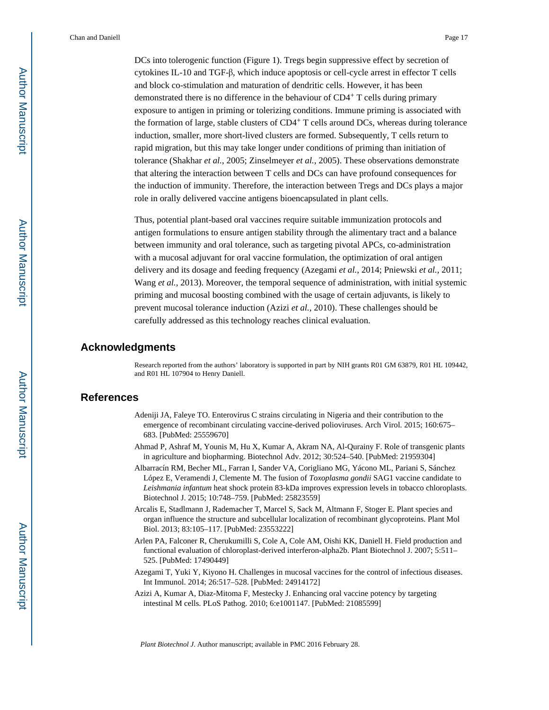DCs into tolerogenic function (Figure 1). Tregs begin suppressive effect by secretion of cytokines IL-10 and TGF-β, which induce apoptosis or cell-cycle arrest in effector T cells and block co-stimulation and maturation of dendritic cells. However, it has been demonstrated there is no difference in the behaviour of CD4<sup>+</sup> T cells during primary exposure to antigen in priming or tolerizing conditions. Immune priming is associated with the formation of large, stable clusters of CD4+ T cells around DCs, whereas during tolerance induction, smaller, more short-lived clusters are formed. Subsequently, T cells return to rapid migration, but this may take longer under conditions of priming than initiation of tolerance (Shakhar *et al.*, 2005; Zinselmeyer *et al.*, 2005). These observations demonstrate that altering the interaction between T cells and DCs can have profound consequences for the induction of immunity. Therefore, the interaction between Tregs and DCs plays a major role in orally delivered vaccine antigens bioencapsulated in plant cells.

Thus, potential plant-based oral vaccines require suitable immunization protocols and antigen formulations to ensure antigen stability through the alimentary tract and a balance between immunity and oral tolerance, such as targeting pivotal APCs, co-administration with a mucosal adjuvant for oral vaccine formulation, the optimization of oral antigen delivery and its dosage and feeding frequency (Azegami *et al.*, 2014; Pniewski *et al.*, 2011; Wang *et al.*, 2013). Moreover, the temporal sequence of administration, with initial systemic priming and mucosal boosting combined with the usage of certain adjuvants, is likely to prevent mucosal tolerance induction (Azizi *et al.*, 2010). These challenges should be carefully addressed as this technology reaches clinical evaluation.

### **Acknowledgments**

Research reported from the authors' laboratory is supported in part by NIH grants R01 GM 63879, R01 HL 109442, and R01 HL 107904 to Henry Daniell.

#### **References**

- Adeniji JA, Faleye TO. Enterovirus C strains circulating in Nigeria and their contribution to the emergence of recombinant circulating vaccine-derived polioviruses. Arch Virol. 2015; 160:675– 683. [PubMed: 25559670]
- Ahmad P, Ashraf M, Younis M, Hu X, Kumar A, Akram NA, Al-Qurainy F. Role of transgenic plants in agriculture and biopharming. Biotechnol Adv. 2012; 30:524–540. [PubMed: 21959304]
- Albarracín RM, Becher ML, Farran I, Sander VA, Corigliano MG, Yácono ML, Pariani S, Sánchez López E, Veramendi J, Clemente M. The fusion of *Toxoplasma gondii* SAG1 vaccine candidate to *Leishmania infantum* heat shock protein 83-kDa improves expression levels in tobacco chloroplasts. Biotechnol J. 2015; 10:748–759. [PubMed: 25823559]
- Arcalis E, Stadlmann J, Rademacher T, Marcel S, Sack M, Altmann F, Stoger E. Plant species and organ influence the structure and subcellular localization of recombinant glycoproteins. Plant Mol Biol. 2013; 83:105–117. [PubMed: 23553222]
- Arlen PA, Falconer R, Cherukumilli S, Cole A, Cole AM, Oishi KK, Daniell H. Field production and functional evaluation of chloroplast-derived interferon-alpha2b. Plant Biotechnol J. 2007; 5:511– 525. [PubMed: 17490449]
- Azegami T, Yuki Y, Kiyono H. Challenges in mucosal vaccines for the control of infectious diseases. Int Immunol. 2014; 26:517–528. [PubMed: 24914172]
- Azizi A, Kumar A, Diaz-Mitoma F, Mestecky J. Enhancing oral vaccine potency by targeting intestinal M cells. PLoS Pathog. 2010; 6:e1001147. [PubMed: 21085599]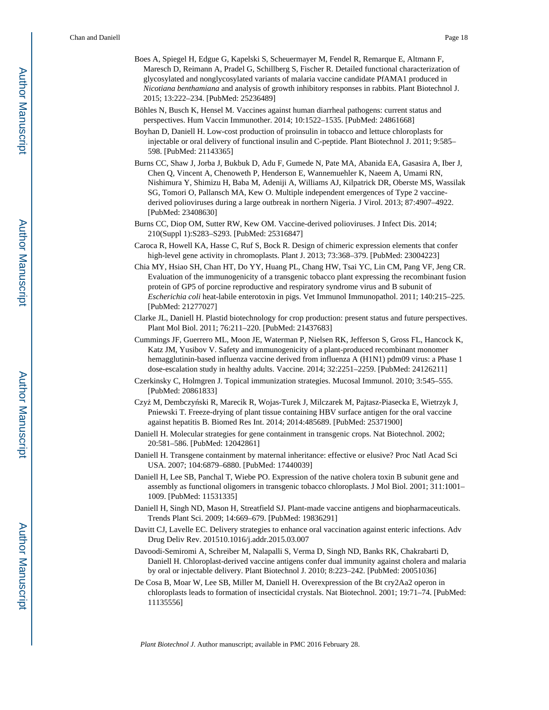- Boes A, Spiegel H, Edgue G, Kapelski S, Scheuermayer M, Fendel R, Remarque E, Altmann F, Maresch D, Reimann A, Pradel G, Schillberg S, Fischer R. Detailed functional characterization of glycosylated and nonglycosylated variants of malaria vaccine candidate PfAMA1 produced in *Nicotiana benthamiana* and analysis of growth inhibitory responses in rabbits. Plant Biotechnol J. 2015; 13:222–234. [PubMed: 25236489]
- Böhles N, Busch K, Hensel M. Vaccines against human diarrheal pathogens: current status and perspectives. Hum Vaccin Immunother. 2014; 10:1522–1535. [PubMed: 24861668]
- Boyhan D, Daniell H. Low-cost production of proinsulin in tobacco and lettuce chloroplasts for injectable or oral delivery of functional insulin and C-peptide. Plant Biotechnol J. 2011; 9:585– 598. [PubMed: 21143365]
- Burns CC, Shaw J, Jorba J, Bukbuk D, Adu F, Gumede N, Pate MA, Abanida EA, Gasasira A, Iber J, Chen Q, Vincent A, Chenoweth P, Henderson E, Wannemuehler K, Naeem A, Umami RN, Nishimura Y, Shimizu H, Baba M, Adeniji A, Williams AJ, Kilpatrick DR, Oberste MS, Wassilak SG, Tomori O, Pallansch MA, Kew O. Multiple independent emergences of Type 2 vaccinederived polioviruses during a large outbreak in northern Nigeria. J Virol. 2013; 87:4907–4922. [PubMed: 23408630]
- Burns CC, Diop OM, Sutter RW, Kew OM. Vaccine-derived polioviruses. J Infect Dis. 2014; 210(Suppl 1):S283–S293. [PubMed: 25316847]
- Caroca R, Howell KA, Hasse C, Ruf S, Bock R. Design of chimeric expression elements that confer high-level gene activity in chromoplasts. Plant J. 2013; 73:368–379. [PubMed: 23004223]
- Chia MY, Hsiao SH, Chan HT, Do YY, Huang PL, Chang HW, Tsai YC, Lin CM, Pang VF, Jeng CR. Evaluation of the immunogenicity of a transgenic tobacco plant expressing the recombinant fusion protein of GP5 of porcine reproductive and respiratory syndrome virus and B subunit of *Escherichia coli* heat-labile enterotoxin in pigs. Vet Immunol Immunopathol. 2011; 140:215–225. [PubMed: 21277027]
- Clarke JL, Daniell H. Plastid biotechnology for crop production: present status and future perspectives. Plant Mol Biol. 2011; 76:211–220. [PubMed: 21437683]
- Cummings JF, Guerrero ML, Moon JE, Waterman P, Nielsen RK, Jefferson S, Gross FL, Hancock K, Katz JM, Yusibov V. Safety and immunogenicity of a plant-produced recombinant monomer hemagglutinin-based influenza vaccine derived from influenza A (H1N1) pdm09 virus: a Phase 1 dose-escalation study in healthy adults. Vaccine. 2014; 32:2251–2259. [PubMed: 24126211]
- Czerkinsky C, Holmgren J. Topical immunization strategies. Mucosal Immunol. 2010; 3:545–555. [PubMed: 20861833]
- Czy M, Dembczy ski R, Marecik R, Wojas-Turek J, Milczarek M, Pajtasz-Piasecka E, Wietrzyk J, Pniewski T. Freeze-drying of plant tissue containing HBV surface antigen for the oral vaccine against hepatitis B. Biomed Res Int. 2014; 2014:485689. [PubMed: 25371900]
- Daniell H. Molecular strategies for gene containment in transgenic crops. Nat Biotechnol. 2002; 20:581–586. [PubMed: 12042861]
- Daniell H. Transgene containment by maternal inheritance: effective or elusive? Proc Natl Acad Sci USA. 2007; 104:6879–6880. [PubMed: 17440039]
- Daniell H, Lee SB, Panchal T, Wiebe PO. Expression of the native cholera toxin B subunit gene and assembly as functional oligomers in transgenic tobacco chloroplasts. J Mol Biol. 2001; 311:1001– 1009. [PubMed: 11531335]
- Daniell H, Singh ND, Mason H, Streatfield SJ. Plant-made vaccine antigens and biopharmaceuticals. Trends Plant Sci. 2009; 14:669–679. [PubMed: 19836291]
- Davitt CJ, Lavelle EC. Delivery strategies to enhance oral vaccination against enteric infections. Adv Drug Deliv Rev. 201510.1016/j.addr.2015.03.007
- Davoodi-Semiromi A, Schreiber M, Nalapalli S, Verma D, Singh ND, Banks RK, Chakrabarti D, Daniell H. Chloroplast-derived vaccine antigens confer dual immunity against cholera and malaria by oral or injectable delivery. Plant Biotechnol J. 2010; 8:223–242. [PubMed: 20051036]
- De Cosa B, Moar W, Lee SB, Miller M, Daniell H. Overexpression of the Bt cry2Aa2 operon in chloroplasts leads to formation of insecticidal crystals. Nat Biotechnol. 2001; 19:71–74. [PubMed: 11135556]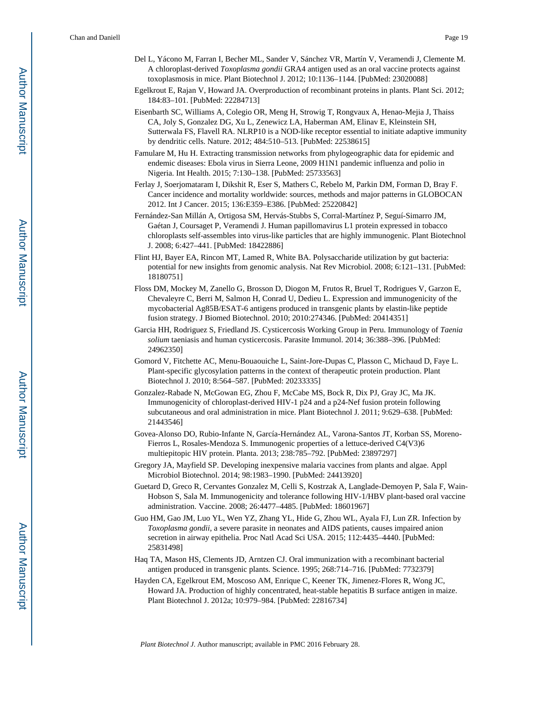- Del L, Yácono M, Farran I, Becher ML, Sander V, Sánchez VR, Martín V, Veramendi J, Clemente M. A chloroplast-derived *Toxoplasma gondii* GRA4 antigen used as an oral vaccine protects against toxoplasmosis in mice. Plant Biotechnol J. 2012; 10:1136–1144. [PubMed: 23020088]
- Egelkrout E, Rajan V, Howard JA. Overproduction of recombinant proteins in plants. Plant Sci. 2012; 184:83–101. [PubMed: 22284713]
- Eisenbarth SC, Williams A, Colegio OR, Meng H, Strowig T, Rongvaux A, Henao-Mejia J, Thaiss CA, Joly S, Gonzalez DG, Xu L, Zenewicz LA, Haberman AM, Elinav E, Kleinstein SH, Sutterwala FS, Flavell RA. NLRP10 is a NOD-like receptor essential to initiate adaptive immunity by dendritic cells. Nature. 2012; 484:510–513. [PubMed: 22538615]
- Famulare M, Hu H. Extracting transmission networks from phylogeographic data for epidemic and endemic diseases: Ebola virus in Sierra Leone, 2009 H1N1 pandemic influenza and polio in Nigeria. Int Health. 2015; 7:130–138. [PubMed: 25733563]
- Ferlay J, Soerjomataram I, Dikshit R, Eser S, Mathers C, Rebelo M, Parkin DM, Forman D, Bray F. Cancer incidence and mortality worldwide: sources, methods and major patterns in GLOBOCAN 2012. Int J Cancer. 2015; 136:E359–E386. [PubMed: 25220842]
- Fernández-San Millán A, Ortigosa SM, Hervás-Stubbs S, Corral-Martínez P, Seguí-Simarro JM, Gaétan J, Coursaget P, Veramendi J. Human papillomavirus L1 protein expressed in tobacco chloroplasts self-assembles into virus-like particles that are highly immunogenic. Plant Biotechnol J. 2008; 6:427–441. [PubMed: 18422886]
- Flint HJ, Bayer EA, Rincon MT, Lamed R, White BA. Polysaccharide utilization by gut bacteria: potential for new insights from genomic analysis. Nat Rev Microbiol. 2008; 6:121–131. [PubMed: 18180751]
- Floss DM, Mockey M, Zanello G, Brosson D, Diogon M, Frutos R, Bruel T, Rodrigues V, Garzon E, Chevaleyre C, Berri M, Salmon H, Conrad U, Dedieu L. Expression and immunogenicity of the mycobacterial Ag85B/ESAT-6 antigens produced in transgenic plants by elastin-like peptide fusion strategy. J Biomed Biotechnol. 2010; 2010:274346. [PubMed: 20414351]
- Garcia HH, Rodriguez S, Friedland JS. Cysticercosis Working Group in Peru. Immunology of *Taenia solium* taeniasis and human cysticercosis. Parasite Immunol. 2014; 36:388–396. [PubMed: 24962350]
- Gomord V, Fitchette AC, Menu-Bouaouiche L, Saint-Jore-Dupas C, Plasson C, Michaud D, Faye L. Plant-specific glycosylation patterns in the context of therapeutic protein production. Plant Biotechnol J. 2010; 8:564–587. [PubMed: 20233335]
- Gonzalez-Rabade N, McGowan EG, Zhou F, McCabe MS, Bock R, Dix PJ, Gray JC, Ma JK. Immunogenicity of chloroplast-derived HIV-1 p24 and a p24-Nef fusion protein following subcutaneous and oral administration in mice. Plant Biotechnol J. 2011; 9:629–638. [PubMed: 21443546]
- Govea-Alonso DO, Rubio-Infante N, García-Hernández AL, Varona-Santos JT, Korban SS, Moreno-Fierros L, Rosales-Mendoza S. Immunogenic properties of a lettuce-derived C4(V3)6 multiepitopic HIV protein. Planta. 2013; 238:785–792. [PubMed: 23897297]
- Gregory JA, Mayfield SP. Developing inexpensive malaria vaccines from plants and algae. Appl Microbiol Biotechnol. 2014; 98:1983–1990. [PubMed: 24413920]
- Guetard D, Greco R, Cervantes Gonzalez M, Celli S, Kostrzak A, Langlade-Demoyen P, Sala F, Wain-Hobson S, Sala M. Immunogenicity and tolerance following HIV-1/HBV plant-based oral vaccine administration. Vaccine. 2008; 26:4477–4485. [PubMed: 18601967]
- Guo HM, Gao JM, Luo YL, Wen YZ, Zhang YL, Hide G, Zhou WL, Ayala FJ, Lun ZR. Infection by *Toxoplasma gondii*, a severe parasite in neonates and AIDS patients, causes impaired anion secretion in airway epithelia. Proc Natl Acad Sci USA. 2015; 112:4435–4440. [PubMed: 25831498]
- Haq TA, Mason HS, Clements JD, Arntzen CJ. Oral immunization with a recombinant bacterial antigen produced in transgenic plants. Science. 1995; 268:714–716. [PubMed: 7732379]
- Hayden CA, Egelkrout EM, Moscoso AM, Enrique C, Keener TK, Jimenez-Flores R, Wong JC, Howard JA. Production of highly concentrated, heat-stable hepatitis B surface antigen in maize. Plant Biotechnol J. 2012a; 10:979–984. [PubMed: 22816734]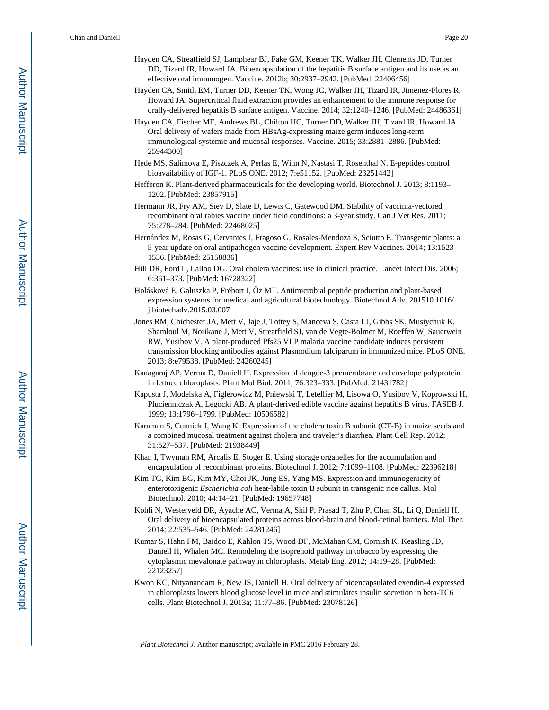- Hayden CA, Streatfield SJ, Lamphear BJ, Fake GM, Keener TK, Walker JH, Clements JD, Turner DD, Tizard IR, Howard JA. Bioencapsulation of the hepatitis B surface antigen and its use as an effective oral immunogen. Vaccine. 2012b; 30:2937–2942. [PubMed: 22406456]
- Hayden CA, Smith EM, Turner DD, Keener TK, Wong JC, Walker JH, Tizard IR, Jimenez-Flores R, Howard JA. Supercritical fluid extraction provides an enhancement to the immune response for orally-delivered hepatitis B surface antigen. Vaccine. 2014; 32:1240–1246. [PubMed: 24486361]
- Hayden CA, Fischer ME, Andrews BL, Chilton HC, Turner DD, Walker JH, Tizard IR, Howard JA. Oral delivery of wafers made from HBsAg-expressing maize germ induces long-term immunological systemic and mucosal responses. Vaccine. 2015; 33:2881–2886. [PubMed: 25944300]
- Hede MS, Salimova E, Piszczek A, Perlas E, Winn N, Nastasi T, Rosenthal N. E-peptides control bioavailability of IGF-1. PLoS ONE. 2012; 7:e51152. [PubMed: 23251442]
- Hefferon K. Plant-derived pharmaceuticals for the developing world. Biotechnol J. 2013; 8:1193– 1202. [PubMed: 23857915]
- Hermann JR, Fry AM, Siev D, Slate D, Lewis C, Gatewood DM. Stability of vaccinia-vectored recombinant oral rabies vaccine under field conditions: a 3-year study. Can J Vet Res. 2011; 75:278–284. [PubMed: 22468025]
- Hernández M, Rosas G, Cervantes J, Fragoso G, Rosales-Mendoza S, Sciutto E. Transgenic plants: a 5-year update on oral antipathogen vaccine development. Expert Rev Vaccines. 2014; 13:1523– 1536. [PubMed: 25158836]
- Hill DR, Ford L, Lalloo DG. Oral cholera vaccines: use in clinical practice. Lancet Infect Dis. 2006; 6:361–373. [PubMed: 16728322]
- Holásková E, Galuszka P, Frébort I, Öz MT. Antimicrobial peptide production and plant-based expression systems for medical and agricultural biotechnology. Biotechnol Adv. 201510.1016/ j.biotechadv.2015.03.007
- Jones RM, Chichester JA, Mett V, Jaje J, Tottey S, Manceva S, Casta LJ, Gibbs SK, Musiychuk K, Shamloul M, Norikane J, Mett V, Streatfield SJ, van de Vegte-Bolmer M, Roeffen W, Sauerwein RW, Yusibov V. A plant-produced Pfs25 VLP malaria vaccine candidate induces persistent transmission blocking antibodies against Plasmodium falciparum in immunized mice. PLoS ONE. 2013; 8:e79538. [PubMed: 24260245]
- Kanagaraj AP, Verma D, Daniell H. Expression of dengue-3 premembrane and envelope polyprotein in lettuce chloroplasts. Plant Mol Biol. 2011; 76:323–333. [PubMed: 21431782]
- Kapusta J, Modelska A, Figlerowicz M, Pniewski T, Letellier M, Lisowa O, Yusibov V, Koprowski H, Plucienniczak A, Legocki AB. A plant-derived edible vaccine against hepatitis B virus. FASEB J. 1999; 13:1796–1799. [PubMed: 10506582]
- Karaman S, Cunnick J, Wang K. Expression of the cholera toxin B subunit (CT-B) in maize seeds and a combined mucosal treatment against cholera and traveler's diarrhea. Plant Cell Rep. 2012; 31:527–537. [PubMed: 21938449]
- Khan I, Twyman RM, Arcalis E, Stoger E. Using storage organelles for the accumulation and encapsulation of recombinant proteins. Biotechnol J. 2012; 7:1099–1108. [PubMed: 22396218]
- Kim TG, Kim BG, Kim MY, Choi JK, Jung ES, Yang MS. Expression and immunogenicity of enterotoxigenic *Escherichia coli* heat-labile toxin B subunit in transgenic rice callus. Mol Biotechnol. 2010; 44:14–21. [PubMed: 19657748]
- Kohli N, Westerveld DR, Ayache AC, Verma A, Shil P, Prasad T, Zhu P, Chan SL, Li Q, Daniell H. Oral delivery of bioencapsulated proteins across blood-brain and blood-retinal barriers. Mol Ther. 2014; 22:535–546. [PubMed: 24281246]
- Kumar S, Hahn FM, Baidoo E, Kahlon TS, Wood DF, McMahan CM, Cornish K, Keasling JD, Daniell H, Whalen MC. Remodeling the isoprenoid pathway in tobacco by expressing the cytoplasmic mevalonate pathway in chloroplasts. Metab Eng. 2012; 14:19–28. [PubMed: 22123257]
- Kwon KC, Nityanandam R, New JS, Daniell H. Oral delivery of bioencapsulated exendin-4 expressed in chloroplasts lowers blood glucose level in mice and stimulates insulin secretion in beta-TC6 cells. Plant Biotechnol J. 2013a; 11:77–86. [PubMed: 23078126]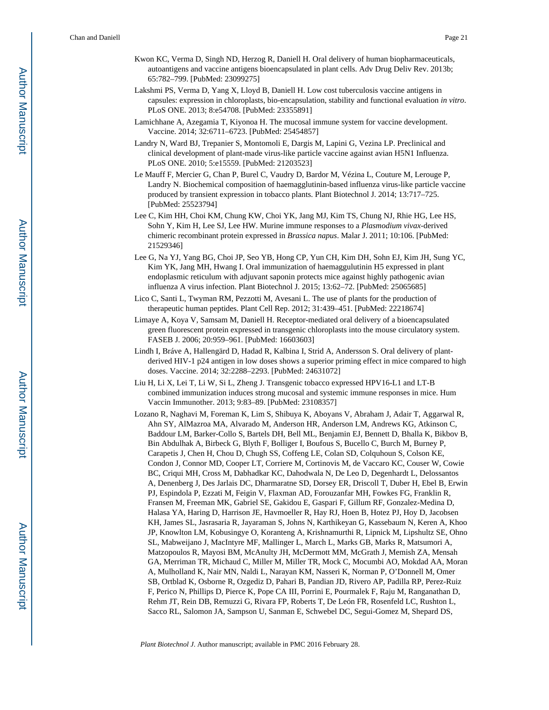- Kwon KC, Verma D, Singh ND, Herzog R, Daniell H. Oral delivery of human biopharmaceuticals, autoantigens and vaccine antigens bioencapsulated in plant cells. Adv Drug Deliv Rev. 2013b; 65:782–799. [PubMed: 23099275]
- Lakshmi PS, Verma D, Yang X, Lloyd B, Daniell H. Low cost tuberculosis vaccine antigens in capsules: expression in chloroplasts, bio-encapsulation, stability and functional evaluation *in vitro*. PLoS ONE. 2013; 8:e54708. [PubMed: 23355891]
- Lamichhane A, Azegamia T, Kiyonoa H. The mucosal immune system for vaccine development. Vaccine. 2014; 32:6711–6723. [PubMed: 25454857]
- Landry N, Ward BJ, Trepanier S, Montomoli E, Dargis M, Lapini G, Vezina LP. Preclinical and clinical development of plant-made virus-like particle vaccine against avian H5N1 Influenza. PLoS ONE. 2010; 5:e15559. [PubMed: 21203523]
- Le Mauff F, Mercier G, Chan P, Burel C, Vaudry D, Bardor M, Vézina L, Couture M, Lerouge P, Landry N. Biochemical composition of haemagglutinin-based influenza virus-like particle vaccine produced by transient expression in tobacco plants. Plant Biotechnol J. 2014; 13:717–725. [PubMed: 25523794]
- Lee C, Kim HH, Choi KM, Chung KW, Choi YK, Jang MJ, Kim TS, Chung NJ, Rhie HG, Lee HS, Sohn Y, Kim H, Lee SJ, Lee HW. Murine immune responses to a *Plasmodium vivax*-derived chimeric recombinant protein expressed in *Brassica napus*. Malar J. 2011; 10:106. [PubMed: 21529346]
- Lee G, Na YJ, Yang BG, Choi JP, Seo YB, Hong CP, Yun CH, Kim DH, Sohn EJ, Kim JH, Sung YC, Kim YK, Jang MH, Hwang I. Oral immunization of haemaggulutinin H5 expressed in plant endoplasmic reticulum with adjuvant saponin protects mice against highly pathogenic avian influenza A virus infection. Plant Biotechnol J. 2015; 13:62–72. [PubMed: 25065685]
- Lico C, Santi L, Twyman RM, Pezzotti M, Avesani L. The use of plants for the production of therapeutic human peptides. Plant Cell Rep. 2012; 31:439–451. [PubMed: 22218674]
- Limaye A, Koya V, Samsam M, Daniell H. Receptor-mediated oral delivery of a bioencapsulated green fluorescent protein expressed in transgenic chloroplasts into the mouse circulatory system. FASEB J. 2006; 20:959–961. [PubMed: 16603603]
- Lindh I, Bráve A, Hallengärd D, Hadad R, Kalbina I, Strid A, Andersson S. Oral delivery of plantderived HIV-1 p24 antigen in low doses shows a superior priming effect in mice compared to high doses. Vaccine. 2014; 32:2288–2293. [PubMed: 24631072]
- Liu H, Li X, Lei T, Li W, Si L, Zheng J. Transgenic tobacco expressed HPV16-L1 and LT-B combined immunization induces strong mucosal and systemic immune responses in mice. Hum Vaccin Immunother. 2013; 9:83–89. [PubMed: 23108357]
- Lozano R, Naghavi M, Foreman K, Lim S, Shibuya K, Aboyans V, Abraham J, Adair T, Aggarwal R, Ahn SY, AlMazroa MA, Alvarado M, Anderson HR, Anderson LM, Andrews KG, Atkinson C, Baddour LM, Barker-Collo S, Bartels DH, Bell ML, Benjamin EJ, Bennett D, Bhalla K, Bikbov B, Bin Abdulhak A, Birbeck G, Blyth F, Bolliger I, Boufous S, Bucello C, Burch M, Burney P, Carapetis J, Chen H, Chou D, Chugh SS, Coffeng LE, Colan SD, Colquhoun S, Colson KE, Condon J, Connor MD, Cooper LT, Corriere M, Cortinovis M, de Vaccaro KC, Couser W, Cowie BC, Criqui MH, Cross M, Dabhadkar KC, Dahodwala N, De Leo D, Degenhardt L, Delossantos A, Denenberg J, Des Jarlais DC, Dharmaratne SD, Dorsey ER, Driscoll T, Duber H, Ebel B, Erwin PJ, Espindola P, Ezzati M, Feigin V, Flaxman AD, Forouzanfar MH, Fowkes FG, Franklin R, Fransen M, Freeman MK, Gabriel SE, Gakidou E, Gaspari F, Gillum RF, Gonzalez-Medina D, Halasa YA, Haring D, Harrison JE, Havmoeller R, Hay RJ, Hoen B, Hotez PJ, Hoy D, Jacobsen KH, James SL, Jasrasaria R, Jayaraman S, Johns N, Karthikeyan G, Kassebaum N, Keren A, Khoo JP, Knowlton LM, Kobusingye O, Koranteng A, Krishnamurthi R, Lipnick M, Lipshultz SE, Ohno SL, Mabweijano J, MacIntyre MF, Mallinger L, March L, Marks GB, Marks R, Matsumori A, Matzopoulos R, Mayosi BM, McAnulty JH, McDermott MM, McGrath J, Memish ZA, Mensah GA, Merriman TR, Michaud C, Miller M, Miller TR, Mock C, Mocumbi AO, Mokdad AA, Moran A, Mulholland K, Nair MN, Naldi L, Narayan KM, Nasseri K, Norman P, O'Donnell M, Omer SB, Ortblad K, Osborne R, Ozgediz D, Pahari B, Pandian JD, Rivero AP, Padilla RP, Perez-Ruiz F, Perico N, Phillips D, Pierce K, Pope CA III, Porrini E, Pourmalek F, Raju M, Ranganathan D, Rehm JT, Rein DB, Remuzzi G, Rivara FP, Roberts T, De León FR, Rosenfeld LC, Rushton L, Sacco RL, Salomon JA, Sampson U, Sanman E, Schwebel DC, Segui-Gomez M, Shepard DS,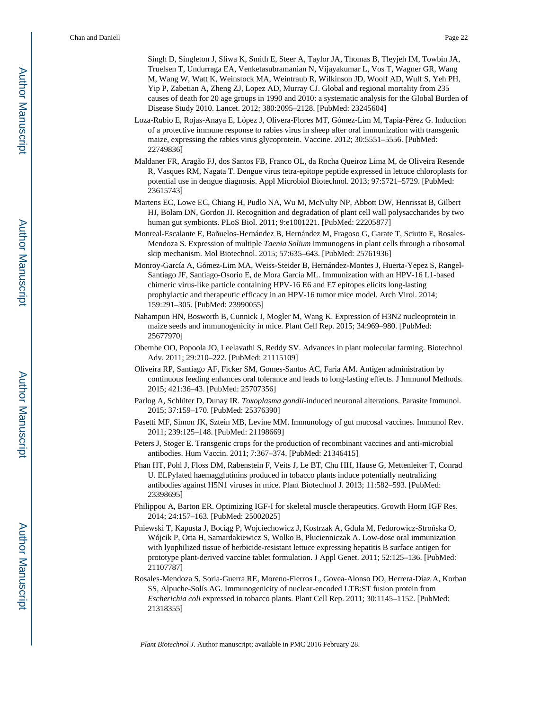Singh D, Singleton J, Sliwa K, Smith E, Steer A, Taylor JA, Thomas B, Tleyjeh IM, Towbin JA, Truelsen T, Undurraga EA, Venketasubramanian N, Vijayakumar L, Vos T, Wagner GR, Wang M, Wang W, Watt K, Weinstock MA, Weintraub R, Wilkinson JD, Woolf AD, Wulf S, Yeh PH, Yip P, Zabetian A, Zheng ZJ, Lopez AD, Murray CJ. Global and regional mortality from 235 causes of death for 20 age groups in 1990 and 2010: a systematic analysis for the Global Burden of Disease Study 2010. Lancet. 2012; 380:2095–2128. [PubMed: 23245604]

- Loza-Rubio E, Rojas-Anaya E, López J, Olivera-Flores MT, Gómez-Lim M, Tapia-Pérez G. Induction of a protective immune response to rabies virus in sheep after oral immunization with transgenic maize, expressing the rabies virus glycoprotein. Vaccine. 2012; 30:5551–5556. [PubMed: 22749836]
- Maldaner FR, Aragão FJ, dos Santos FB, Franco OL, da Rocha Queiroz Lima M, de Oliveira Resende R, Vasques RM, Nagata T. Dengue virus tetra-epitope peptide expressed in lettuce chloroplasts for potential use in dengue diagnosis. Appl Microbiol Biotechnol. 2013; 97:5721–5729. [PubMed: 23615743]
- Martens EC, Lowe EC, Chiang H, Pudlo NA, Wu M, McNulty NP, Abbott DW, Henrissat B, Gilbert HJ, Bolam DN, Gordon JI. Recognition and degradation of plant cell wall polysaccharides by two human gut symbionts. PLoS Biol. 2011; 9:e1001221. [PubMed: 22205877]
- Monreal-Escalante E, Bañuelos-Hernández B, Hernández M, Fragoso G, Garate T, Sciutto E, Rosales-Mendoza S. Expression of multiple *Taenia Solium* immunogens in plant cells through a ribosomal skip mechanism. Mol Biotechnol. 2015; 57:635–643. [PubMed: 25761936]
- Monroy-García A, Gómez-Lim MA, Weiss-Steider B, Hernández-Montes J, Huerta-Yepez S, Rangel-Santiago JF, Santiago-Osorio E, de Mora García ML. Immunization with an HPV-16 L1-based chimeric virus-like particle containing HPV-16 E6 and E7 epitopes elicits long-lasting prophylactic and therapeutic efficacy in an HPV-16 tumor mice model. Arch Virol. 2014; 159:291–305. [PubMed: 23990055]
- Nahampun HN, Bosworth B, Cunnick J, Mogler M, Wang K. Expression of H3N2 nucleoprotein in maize seeds and immunogenicity in mice. Plant Cell Rep. 2015; 34:969–980. [PubMed: 25677970]
- Obembe OO, Popoola JO, Leelavathi S, Reddy SV. Advances in plant molecular farming. Biotechnol Adv. 2011; 29:210–222. [PubMed: 21115109]
- Oliveira RP, Santiago AF, Ficker SM, Gomes-Santos AC, Faria AM. Antigen administration by continuous feeding enhances oral tolerance and leads to long-lasting effects. J Immunol Methods. 2015; 421:36–43. [PubMed: 25707356]
- Parlog A, Schlüter D, Dunay IR. *Toxoplasma gondii*-induced neuronal alterations. Parasite Immunol. 2015; 37:159–170. [PubMed: 25376390]
- Pasetti MF, Simon JK, Sztein MB, Levine MM. Immunology of gut mucosal vaccines. Immunol Rev. 2011; 239:125–148. [PubMed: 21198669]
- Peters J, Stoger E. Transgenic crops for the production of recombinant vaccines and anti-microbial antibodies. Hum Vaccin. 2011; 7:367–374. [PubMed: 21346415]
- Phan HT, Pohl J, Floss DM, Rabenstein F, Veits J, Le BT, Chu HH, Hause G, Mettenleiter T, Conrad U. ELPylated haemagglutinins produced in tobacco plants induce potentially neutralizing antibodies against H5N1 viruses in mice. Plant Biotechnol J. 2013; 11:582–593. [PubMed: 23398695]
- Philippou A, Barton ER. Optimizing IGF-I for skeletal muscle therapeutics. Growth Horm IGF Res. 2014; 24:157–163. [PubMed: 25002025]
- Pniewski T, Kapusta J, Bociąg P, Wojciechowicz J, Kostrzak A, Gdula M, Fedorowicz-Strośka O, Wójcik P, Otta H, Samardakiewicz S, Wolko B, Płucienniczak A. Low-dose oral immunization with lyophilized tissue of herbicide-resistant lettuce expressing hepatitis B surface antigen for prototype plant-derived vaccine tablet formulation. J Appl Genet. 2011; 52:125–136. [PubMed: 21107787]
- Rosales-Mendoza S, Soria-Guerra RE, Moreno-Fierros L, Govea-Alonso DO, Herrera-Díaz A, Korban SS, Alpuche-Solís AG. Immunogenicity of nuclear-encoded LTB:ST fusion protein from *Escherichia coli* expressed in tobacco plants. Plant Cell Rep. 2011; 30:1145–1152. [PubMed: 21318355]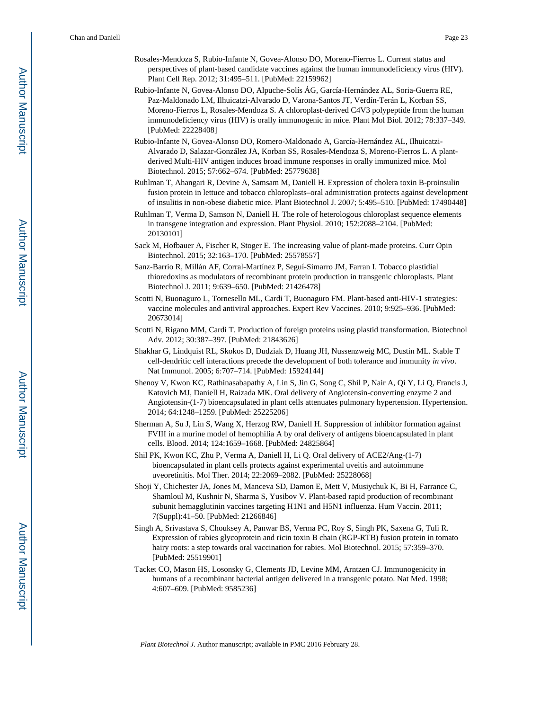- Rosales-Mendoza S, Rubio-Infante N, Govea-Alonso DO, Moreno-Fierros L. Current status and perspectives of plant-based candidate vaccines against the human immunodeficiency virus (HIV). Plant Cell Rep. 2012; 31:495–511. [PubMed: 22159962]
- Rubio-Infante N, Govea-Alonso DO, Alpuche-Solís ÁG, García-Hernández AL, Soria-Guerra RE, Paz-Maldonado LM, Ilhuicatzi-Alvarado D, Varona-Santos JT, Verdín-Terán L, Korban SS, Moreno-Fierros L, Rosales-Mendoza S. A chloroplast-derived C4V3 polypeptide from the human immunodeficiency virus (HIV) is orally immunogenic in mice. Plant Mol Biol. 2012; 78:337–349. [PubMed: 22228408]
- Rubio-Infante N, Govea-Alonso DO, Romero-Maldonado A, García-Hernández AL, Ilhuicatzi-Alvarado D, Salazar-González JA, Korban SS, Rosales-Mendoza S, Moreno-Fierros L. A plantderived Multi-HIV antigen induces broad immune responses in orally immunized mice. Mol Biotechnol. 2015; 57:662–674. [PubMed: 25779638]
- Ruhlman T, Ahangari R, Devine A, Samsam M, Daniell H. Expression of cholera toxin B-proinsulin fusion protein in lettuce and tobacco chloroplasts–oral administration protects against development of insulitis in non-obese diabetic mice. Plant Biotechnol J. 2007; 5:495–510. [PubMed: 17490448]
- Ruhlman T, Verma D, Samson N, Daniell H. The role of heterologous chloroplast sequence elements in transgene integration and expression. Plant Physiol. 2010; 152:2088–2104. [PubMed: 20130101]
- Sack M, Hofbauer A, Fischer R, Stoger E. The increasing value of plant-made proteins. Curr Opin Biotechnol. 2015; 32:163–170. [PubMed: 25578557]
- Sanz-Barrio R, Millán AF, Corral-Martínez P, Seguí-Simarro JM, Farran I. Tobacco plastidial thioredoxins as modulators of recombinant protein production in transgenic chloroplasts. Plant Biotechnol J. 2011; 9:639–650. [PubMed: 21426478]
- Scotti N, Buonaguro L, Tornesello ML, Cardi T, Buonaguro FM. Plant-based anti-HIV-1 strategies: vaccine molecules and antiviral approaches. Expert Rev Vaccines. 2010; 9:925–936. [PubMed: 20673014]
- Scotti N, Rigano MM, Cardi T. Production of foreign proteins using plastid transformation. Biotechnol Adv. 2012; 30:387–397. [PubMed: 21843626]
- Shakhar G, Lindquist RL, Skokos D, Dudziak D, Huang JH, Nussenzweig MC, Dustin ML. Stable T cell-dendritic cell interactions precede the development of both tolerance and immunity *in vivo*. Nat Immunol. 2005; 6:707–714. [PubMed: 15924144]
- Shenoy V, Kwon KC, Rathinasabapathy A, Lin S, Jin G, Song C, Shil P, Nair A, Qi Y, Li Q, Francis J, Katovich MJ, Daniell H, Raizada MK. Oral delivery of Angiotensin-converting enzyme 2 and Angiotensin-(1-7) bioencapsulated in plant cells attenuates pulmonary hypertension. Hypertension. 2014; 64:1248–1259. [PubMed: 25225206]
- Sherman A, Su J, Lin S, Wang X, Herzog RW, Daniell H. Suppression of inhibitor formation against FVIII in a murine model of hemophilia A by oral delivery of antigens bioencapsulated in plant cells. Blood. 2014; 124:1659–1668. [PubMed: 24825864]
- Shil PK, Kwon KC, Zhu P, Verma A, Daniell H, Li Q. Oral delivery of ACE2/Ang-(1-7) bioencapsulated in plant cells protects against experimental uveitis and autoimmune uveoretinitis. Mol Ther. 2014; 22:2069–2082. [PubMed: 25228068]
- Shoji Y, Chichester JA, Jones M, Manceva SD, Damon E, Mett V, Musiychuk K, Bi H, Farrance C, Shamloul M, Kushnir N, Sharma S, Yusibov V. Plant-based rapid production of recombinant subunit hemagglutinin vaccines targeting H1N1 and H5N1 influenza. Hum Vaccin. 2011; 7(Suppl):41–50. [PubMed: 21266846]
- Singh A, Srivastava S, Chouksey A, Panwar BS, Verma PC, Roy S, Singh PK, Saxena G, Tuli R. Expression of rabies glycoprotein and ricin toxin B chain (RGP-RTB) fusion protein in tomato hairy roots: a step towards oral vaccination for rabies. Mol Biotechnol. 2015; 57:359–370. [PubMed: 25519901]
- Tacket CO, Mason HS, Losonsky G, Clements JD, Levine MM, Arntzen CJ. Immunogenicity in humans of a recombinant bacterial antigen delivered in a transgenic potato. Nat Med. 1998; 4:607–609. [PubMed: 9585236]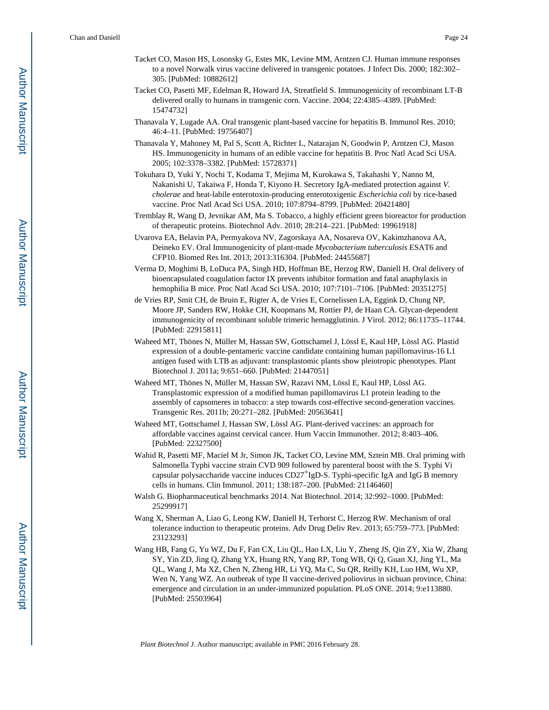- Tacket CO, Mason HS, Losonsky G, Estes MK, Levine MM, Arntzen CJ. Human immune responses to a novel Norwalk virus vaccine delivered in transgenic potatoes. J Infect Dis. 2000; 182:302– 305. [PubMed: 10882612]
- Tacket CO, Pasetti MF, Edelman R, Howard JA, Streatfield S. Immunogenicity of recombinant LT-B delivered orally to humans in transgenic corn. Vaccine. 2004; 22:4385–4389. [PubMed: 15474732]
- Thanavala Y, Lugade AA. Oral transgenic plant-based vaccine for hepatitis B. Immunol Res. 2010; 46:4–11. [PubMed: 19756407]
- Thanavala Y, Mahoney M, Pal S, Scott A, Richter L, Natarajan N, Goodwin P, Arntzen CJ, Mason HS. Immunogenicity in humans of an edible vaccine for hepatitis B. Proc Natl Acad Sci USA. 2005; 102:3378–3382. [PubMed: 15728371]
- Tokuhara D, Yuki Y, Nochi T, Kodama T, Mejima M, Kurokawa S, Takahashi Y, Nanno M, Nakanishi U, Takaiwa F, Honda T, Kiyono H. Secretory IgA-mediated protection against *V. cholerae* and heat-labile enterotoxin-producing enterotoxigenic *Escherichia coli* by rice-based vaccine. Proc Natl Acad Sci USA. 2010; 107:8794–8799. [PubMed: 20421480]
- Tremblay R, Wang D, Jevnikar AM, Ma S. Tobacco, a highly efficient green bioreactor for production of therapeutic proteins. Biotechnol Adv. 2010; 28:214–221. [PubMed: 19961918]
- Uvarova EA, Belavin PA, Permyakova NV, Zagorskaya AA, Nosareva OV, Kakimzhanova AA, Deineko EV. Oral Immunogenicity of plant-made *Mycobacterium tuberculosis* ESAT6 and CFP10. Biomed Res Int. 2013; 2013:316304. [PubMed: 24455687]
- Verma D, Moghimi B, LoDuca PA, Singh HD, Hoffman BE, Herzog RW, Daniell H. Oral delivery of bioencapsulated coagulation factor IX prevents inhibitor formation and fatal anaphylaxis in hemophilia B mice. Proc Natl Acad Sci USA. 2010; 107:7101–7106. [PubMed: 20351275]
- de Vries RP, Smit CH, de Bruin E, Rigter A, de Vries E, Cornelissen LA, Eggink D, Chung NP, Moore JP, Sanders RW, Hokke CH, Koopmans M, Rottier PJ, de Haan CA. Glycan-dependent immunogenicity of recombinant soluble trimeric hemagglutinin. J Virol. 2012; 86:11735–11744. [PubMed: 22915811]
- Waheed MT, Thönes N, Müller M, Hassan SW, Gottschamel J, Lössl E, Kaul HP, Lössl AG. Plastid expression of a double-pentameric vaccine candidate containing human papillomavirus-16 L1 antigen fused with LTB as adjuvant: transplastomic plants show pleiotropic phenotypes. Plant Biotechnol J. 2011a; 9:651–660. [PubMed: 21447051]
- Waheed MT, Thönes N, Müller M, Hassan SW, Razavi NM, Lössl E, Kaul HP, Lössl AG. Transplastomic expression of a modified human papillomavirus L1 protein leading to the assembly of capsomeres in tobacco: a step towards cost-effective second-generation vaccines. Transgenic Res. 2011b; 20:271–282. [PubMed: 20563641]
- Waheed MT, Gottschamel J, Hassan SW, Lössl AG. Plant-derived vaccines: an approach for affordable vaccines against cervical cancer. Hum Vaccin Immunother. 2012; 8:403–406. [PubMed: 22327500]
- Wahid R, Pasetti MF, Maciel M Jr, Simon JK, Tacket CO, Levine MM, Sztein MB. Oral priming with Salmonella Typhi vaccine strain CVD 909 followed by parenteral boost with the S. Typhi Vi capsular polysaccharide vaccine induces CD27+IgD-S. Typhi-specific IgA and IgG B memory cells in humans. Clin Immunol. 2011; 138:187–200. [PubMed: 21146460]
- Walsh G. Biopharmaceutical benchmarks 2014. Nat Biotechnol. 2014; 32:992–1000. [PubMed: 25299917]
- Wang X, Sherman A, Liao G, Leong KW, Daniell H, Terhorst C, Herzog RW. Mechanism of oral tolerance induction to therapeutic proteins. Adv Drug Deliv Rev. 2013; 65:759–773. [PubMed: 23123293]
- Wang HB, Fang G, Yu WZ, Du F, Fan CX, Liu QL, Hao LX, Liu Y, Zheng JS, Qin ZY, Xia W, Zhang SY, Yin ZD, Jing Q, Zhang YX, Huang RN, Yang RP, Tong WB, Qi Q, Guan XJ, Jing YL, Ma QL, Wang J, Ma XZ, Chen N, Zheng HR, Li YQ, Ma C, Su QR, Reilly KH, Luo HM, Wu XP, Wen N, Yang WZ. An outbreak of type II vaccine-derived poliovirus in sichuan province, China: emergence and circulation in an under-immunized population. PLoS ONE. 2014; 9:e113880. [PubMed: 25503964]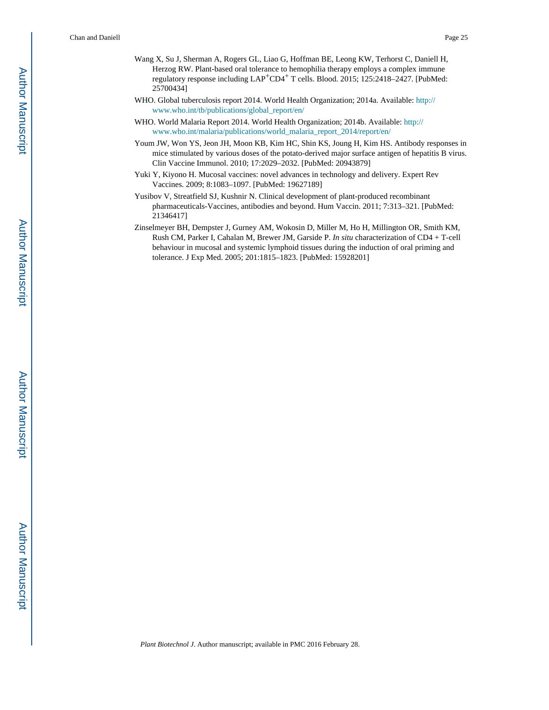- Wang X, Su J, Sherman A, Rogers GL, Liao G, Hoffman BE, Leong KW, Terhorst C, Daniell H, Herzog RW. Plant-based oral tolerance to hemophilia therapy employs a complex immune regulatory response including LAP+CD4+ T cells. Blood. 2015; 125:2418–2427. [PubMed: 25700434]
- WHO. Global tuberculosis report 2014. World Health Organization; 2014a. Available: [http://](http://www.who.int/tb/publications/global_report/en/) [www.who.int/tb/publications/global\\_report/en/](http://www.who.int/tb/publications/global_report/en/)
- WHO. World Malaria Report 2014. World Health Organization; 2014b. Available: [http://](http://www.who.int/malaria/publications/world_malaria_report_2014/report/en/) [www.who.int/malaria/publications/world\\_malaria\\_report\\_2014/report/en/](http://www.who.int/malaria/publications/world_malaria_report_2014/report/en/)
- Youm JW, Won YS, Jeon JH, Moon KB, Kim HC, Shin KS, Joung H, Kim HS. Antibody responses in mice stimulated by various doses of the potato-derived major surface antigen of hepatitis B virus. Clin Vaccine Immunol. 2010; 17:2029–2032. [PubMed: 20943879]
- Yuki Y, Kiyono H. Mucosal vaccines: novel advances in technology and delivery. Expert Rev Vaccines. 2009; 8:1083–1097. [PubMed: 19627189]
- Yusibov V, Streatfield SJ, Kushnir N. Clinical development of plant-produced recombinant pharmaceuticals-Vaccines, antibodies and beyond. Hum Vaccin. 2011; 7:313–321. [PubMed: 21346417]
- Zinselmeyer BH, Dempster J, Gurney AM, Wokosin D, Miller M, Ho H, Millington OR, Smith KM, Rush CM, Parker I, Cahalan M, Brewer JM, Garside P. *In situ* characterization of CD4 + T-cell behaviour in mucosal and systemic lymphoid tissues during the induction of oral priming and tolerance. J Exp Med. 2005; 201:1815–1823. [PubMed: 15928201]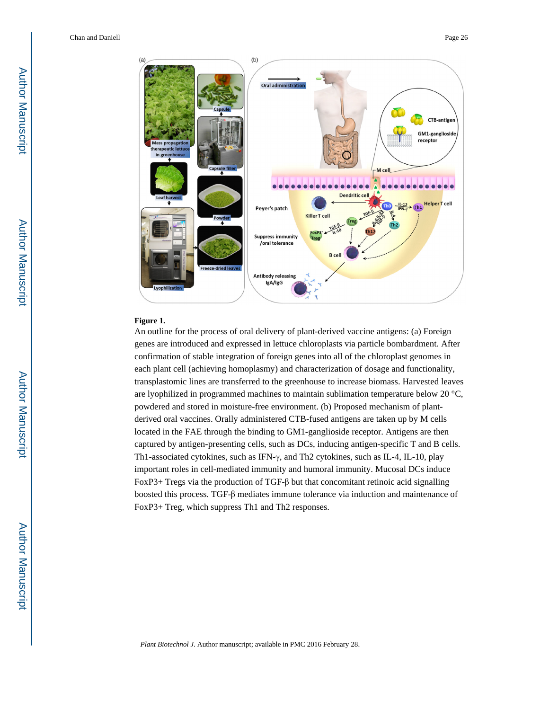

#### **Figure 1.**

An outline for the process of oral delivery of plant-derived vaccine antigens: (a) Foreign genes are introduced and expressed in lettuce chloroplasts via particle bombardment. After confirmation of stable integration of foreign genes into all of the chloroplast genomes in each plant cell (achieving homoplasmy) and characterization of dosage and functionality, transplastomic lines are transferred to the greenhouse to increase biomass. Harvested leaves are lyophilized in programmed machines to maintain sublimation temperature below 20 °C, powdered and stored in moisture-free environment. (b) Proposed mechanism of plantderived oral vaccines. Orally administered CTB-fused antigens are taken up by M cells located in the FAE through the binding to GM1-ganglioside receptor. Antigens are then captured by antigen-presenting cells, such as DCs, inducing antigen-specific T and B cells. Th1-associated cytokines, such as IFN-γ, and Th2 cytokines, such as IL-4, IL-10, play important roles in cell-mediated immunity and humoral immunity. Mucosal DCs induce FoxP3+ Tregs via the production of TGF- $\beta$  but that concomitant retinoic acid signalling boosted this process. TGF-β mediates immune tolerance via induction and maintenance of FoxP3+ Treg, which suppress Th1 and Th2 responses.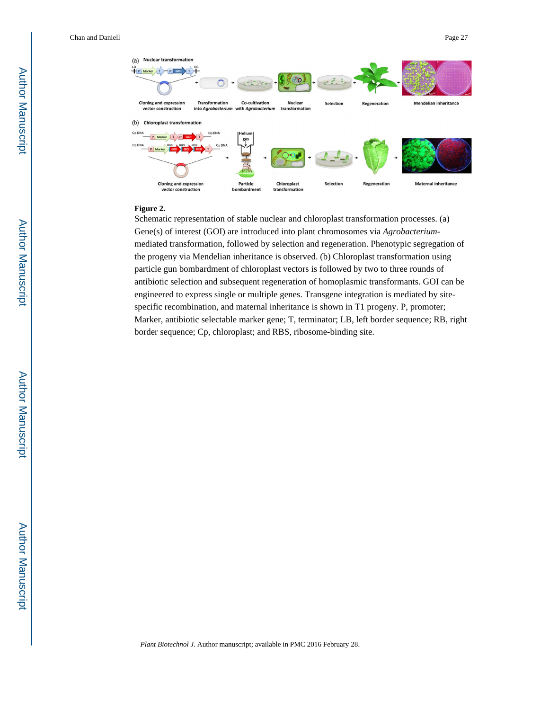

#### **Figure 2.**

Schematic representation of stable nuclear and chloroplast transformation processes. (a) Gene(s) of interest (GOI) are introduced into plant chromosomes via *Agrobacterium*mediated transformation, followed by selection and regeneration. Phenotypic segregation of the progeny via Mendelian inheritance is observed. (b) Chloroplast transformation using particle gun bombardment of chloroplast vectors is followed by two to three rounds of antibiotic selection and subsequent regeneration of homoplasmic transformants. GOI can be engineered to express single or multiple genes. Transgene integration is mediated by sitespecific recombination, and maternal inheritance is shown in T1 progeny. P, promoter; Marker, antibiotic selectable marker gene; T, terminator; LB, left border sequence; RB, right border sequence; Cp, chloroplast; and RBS, ribosome-binding site.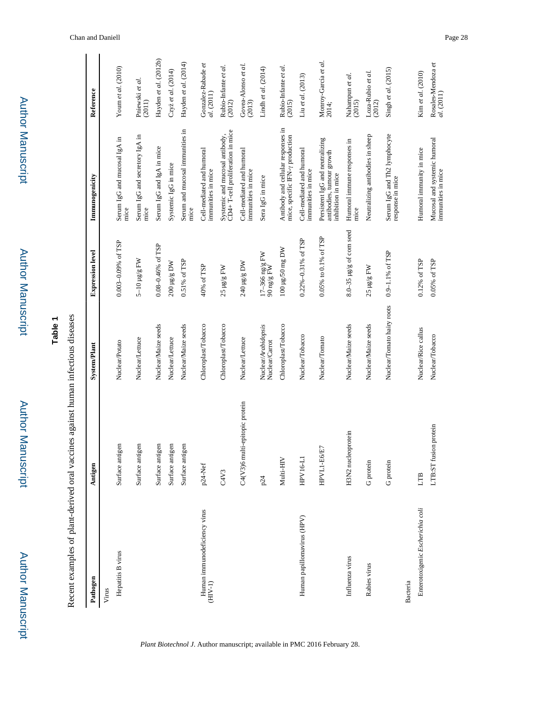| Recent examples of plant-derived oral vaccines against human infectious diseases |                                |                                       |                                                           |                                                                                    |                                  |
|----------------------------------------------------------------------------------|--------------------------------|---------------------------------------|-----------------------------------------------------------|------------------------------------------------------------------------------------|----------------------------------|
| Pathogen                                                                         | Antigen                        | <b>System/Plant</b>                   | <b>Expression</b> level                                   | Immunogenicity                                                                     | Reference                        |
| Virus                                                                            |                                |                                       |                                                           |                                                                                    |                                  |
| Hepatitis B virus                                                                | Surface antigen                | Nuclear/Potato                        | 0.003-0.09% of TSP                                        | Serum IgG and mucosal IgA in<br>mice                                               | Youm et al. $(2010)$             |
|                                                                                  | Surface antigen                | Nuclear/Lettuce                       | $5-10 \mu g/g$ FW                                         | Serum IgG and secretory IgA in<br>mice                                             | Pniewski et al.<br>(2011)        |
|                                                                                  | Surface antigen                | Nuclear/Maize seeds                   | $0.08 - 0.46\%$ of TSP                                    | Serum IgG and IgA in mice                                                          | Hayden et al. (2012b)            |
|                                                                                  | Surface antigen                | Nuclear/Lettuce                       | $200 \mu g/g$ DW                                          | Systemic IgG in mice                                                               | Czy et al. (2014)                |
|                                                                                  | Surface antigen                | Nuclear/Maize seeds                   | 0.51% of TSP                                              | Serum and mucosal immunities in<br>mice                                            | Hayden et al. (2014)             |
| Human immunodeficiency virus<br>$(HV-1)$                                         | p24-Nef                        | Chloroplast/Tobacco                   | 40% of TSP                                                | Cell-mediated and humoral<br>immunities in mice                                    | Gonzalez-Rabade et<br>al. (2011) |
|                                                                                  | C4V3                           | Chloroplast/Tobacco                   | 25 µg/g FW                                                | Systemic and mucosal antibody,<br>CD4+ T-cell proliferation in mice                | Rubio-Infante et al.<br>(2012)   |
|                                                                                  | C4(V3)6 multi-epitopic protein | Nuclear/Lettuce                       | $240 \mu g/g$ DW                                          | Cell-mediated and humoral<br>immunities in mice                                    | Govea-Alonso et al.<br>(2013)    |
|                                                                                  | p24                            | Nuclear/Arabidopsis<br>Nuclear/Carrot | $17\text{--}366$ ng/g $\mathrm{FW}$ 90 ng/g $\mathrm{FW}$ | Sera IgG in mice                                                                   | Lindh et al. (2014)              |
|                                                                                  | Multi-HIV                      | Chloroplast/Tobacco                   | $100 \mu g$ /50 mg DW                                     | Antibody and cellular responses in<br>mice, specific IFN-y production              | Rubio-Infante et al.<br>(2015)   |
| Human papillomavirus (HPV)                                                       | HPV16-L1                       | Nuclear/Tobacco                       | 0.22%-0.31% of TSP                                        | Cell-mediated and humoral<br>immunities in mice                                    | Liu et al. (2013)                |
|                                                                                  | HPVL1-E6/E7                    | Nuclear/Tomato                        | 0.05% to 0.1% of TSP                                      | Persistent IgG and neutralizing<br>antibodies, tumour growth<br>inhibition in mice | Monroy-García et al.<br>2014;    |
| Influenza virus                                                                  | H3N2 nucleoprotein             | Nuclear/Maize seeds                   | $8.0 - 35 \mu g/g$ of corn seed                           | Humoral immune responses in<br>mice                                                | Nahampun et al.<br>(2015)        |
| Rabies virus                                                                     | G protein                      | Nuclear/Maize seeds                   | 25 µg/g FW                                                | Neutralizing antibodies in sheep                                                   | Loza-Rubio et al.<br>(2012)      |
|                                                                                  | G protein                      | Nuclear/Tomato hairy roots            | 0.9-1.1% of TSP                                           | Serum IgG and Th2 lymphocyte<br>response in mice                                   | Singh et al. (2015)              |
| Bacteria                                                                         |                                |                                       |                                                           |                                                                                    |                                  |
| Enterotoxigenic Escherichia coli                                                 | E                              | Nuclear/Rice callus                   | 0.12% of TSP                                              | Humoral immunity in mice                                                           | Kim et al. (2010)                |
|                                                                                  | LTB:ST fusion protein          | Nuclear/Tobacco                       | 0.05% of TSP                                              | Mucosal and systemic humoral<br>immunities in mice                                 | Rosales-Mendoza et<br>al. (2011) |

Author Manuscript

Author Manuscript

**Table 1**